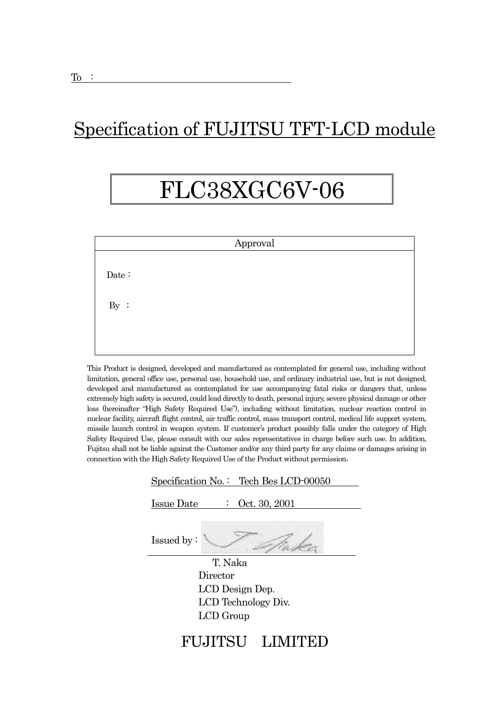## Specification of FUJITSU TFT-LCD module

# FLC38XGC6V-06

|       | Approval |  |
|-------|----------|--|
|       |          |  |
| Date: |          |  |
|       |          |  |
| By:   |          |  |
|       |          |  |
|       |          |  |
|       |          |  |

This Product is designed, developed and manufactured as contemplated for general use, including without limitation, general office use, personal use, household use, and ordinary industrial use, but is not designed, developed and manufactured as contemplated for use accompanying fatal risks or dangers that, unless extremely high safety is secured, could lead directly to death, personal injury, severe physical damage or other loss (hereinafter "High Safety Required Use"), including without limitation, nuclear reaction control in nuclear facility, aircraft flight control, air traffic control, mass transport control, medical life support system, missile launch control in weapon system. If customer's product possibly falls under the category of High Safety Required Use, please consult with our sales representatives in charge before such use. In addition, Fujitsu shall not be liable against the Customer and/or any third party for any claims or damages arising in connection with the High Safety Required Use of the Product without permission.

| Specification No.: Tech Bes LCD-00050 |
|---------------------------------------|
| Oct. 30, 2001<br><b>Issue Date</b>    |
| Issued by:                            |
| T. Naka                               |
| Director                              |
| LCD Design Dep.                       |
| LCD Technology Div.                   |
| LCD Group                             |
|                                       |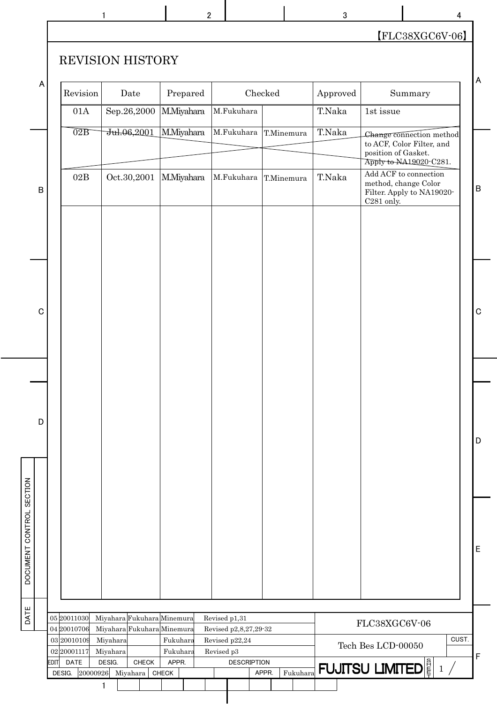| [FLC38XGC6V-06]<br><b>REVISION HISTORY</b><br>Checked<br>Revision<br>Date<br>Prepared<br>Approved<br>Summary<br>T.Naka<br>01A<br>Sep.26,2000<br>M.Miyahara<br>M.Fukuhara<br>1st issue<br>$\overline{02B}$<br>M.Miyahara<br>T.Naka<br>Jul.06,2001<br>M.Fukuhara<br>T.Minemura<br>Change connection method<br>to ACF, Color Filter, and<br>position of Gasket.<br>Apply to NA19020 C281.<br>Add ACF to connection<br>$02\mathrm{B}$<br>T.Naka<br>Oct.30,2001<br>M.Miyahara<br>M.Fukuhara<br>T.Minemura<br>method, change Color<br>Filter. Apply to NA19020-<br>C281 only. | 1 | $\mathbf 2$ |  | 3 | 4 |
|-------------------------------------------------------------------------------------------------------------------------------------------------------------------------------------------------------------------------------------------------------------------------------------------------------------------------------------------------------------------------------------------------------------------------------------------------------------------------------------------------------------------------------------------------------------------------|---|-------------|--|---|---|
|                                                                                                                                                                                                                                                                                                                                                                                                                                                                                                                                                                         |   |             |  |   |   |
|                                                                                                                                                                                                                                                                                                                                                                                                                                                                                                                                                                         |   |             |  |   |   |
|                                                                                                                                                                                                                                                                                                                                                                                                                                                                                                                                                                         |   |             |  |   |   |
|                                                                                                                                                                                                                                                                                                                                                                                                                                                                                                                                                                         |   |             |  |   |   |
|                                                                                                                                                                                                                                                                                                                                                                                                                                                                                                                                                                         |   |             |  |   |   |
|                                                                                                                                                                                                                                                                                                                                                                                                                                                                                                                                                                         |   |             |  |   |   |
|                                                                                                                                                                                                                                                                                                                                                                                                                                                                                                                                                                         |   |             |  |   |   |
|                                                                                                                                                                                                                                                                                                                                                                                                                                                                                                                                                                         |   |             |  |   |   |
|                                                                                                                                                                                                                                                                                                                                                                                                                                                                                                                                                                         |   |             |  |   |   |

| A                        | Revision                    | Date                                                     |       | Prepared          |            |                                         |       | Checked    |          | Approved | Summary                                                                                                |       | $\boldsymbol{\mathsf{A}}$ |
|--------------------------|-----------------------------|----------------------------------------------------------|-------|-------------------|------------|-----------------------------------------|-------|------------|----------|----------|--------------------------------------------------------------------------------------------------------|-------|---------------------------|
|                          | $01\mathrm{A}$              | Sep.26,2000                                              |       | M.Miyahara        |            | M.Fukuhara                              |       |            |          | T.Naka   | $1st\,\mathrm{issue}$                                                                                  |       |                           |
|                          | $\overline{02B}$            | Jul.06,2001                                              |       | M.Miyahara        |            | M.Fukuhara                              |       | T.Minemura |          | T.Naka   | Change connection method<br>to ACF, Color Filter, and<br>position of Gasket.<br>Apply to NA19020-C281. |       |                           |
| $\mathsf B$              | $02\mathrm{B}$              | Oct.30,2001                                              |       | <b>M.Miyahara</b> |            | M.Fukuhara                              |       | T.Minemura |          | T.Naka   | Add ACF to connection<br>method, change Color<br>Filter. Apply to NA19020-<br>C281 only.               |       | $\, {\bf B}$              |
|                          |                             |                                                          |       |                   |            |                                         |       |            |          |          |                                                                                                        |       |                           |
|                          |                             |                                                          |       |                   |            |                                         |       |            |          |          |                                                                                                        |       |                           |
|                          |                             |                                                          |       |                   |            |                                         |       |            |          |          |                                                                                                        |       |                           |
| $\mathbf C$              |                             |                                                          |       |                   |            |                                         |       |            |          |          |                                                                                                        |       | $\mathbf C$               |
|                          |                             |                                                          |       |                   |            |                                         |       |            |          |          |                                                                                                        |       |                           |
|                          |                             |                                                          |       |                   |            |                                         |       |            |          |          |                                                                                                        |       |                           |
|                          |                             |                                                          |       |                   |            |                                         |       |            |          |          |                                                                                                        |       |                           |
|                          |                             |                                                          |       |                   |            |                                         |       |            |          |          |                                                                                                        |       |                           |
| D                        |                             |                                                          |       |                   |            |                                         |       |            |          |          |                                                                                                        |       |                           |
|                          |                             |                                                          |       |                   |            |                                         |       |            |          |          |                                                                                                        |       | D                         |
|                          |                             |                                                          |       |                   |            |                                         |       |            |          |          |                                                                                                        |       |                           |
| DOCUMENT CONTROL SECTION |                             |                                                          |       |                   |            |                                         |       |            |          |          |                                                                                                        |       |                           |
|                          |                             |                                                          |       |                   |            |                                         |       |            |          |          |                                                                                                        |       |                           |
|                          |                             |                                                          |       |                   |            |                                         |       |            |          |          |                                                                                                        |       |                           |
|                          |                             |                                                          |       |                   |            |                                         |       |            |          |          |                                                                                                        |       | E                         |
|                          |                             |                                                          |       |                   |            |                                         |       |            |          |          |                                                                                                        |       |                           |
|                          |                             |                                                          |       |                   |            |                                         |       |            |          |          |                                                                                                        |       |                           |
| DATE                     | 05 20011030<br>04 20010706  | Miyahara Fukuhara Minemura<br>Miyahara Fukuhara Minemura |       |                   |            | Revised p1,31                           |       |            |          |          | FLC38XGC6V-06                                                                                          |       |                           |
|                          | 03 20010109                 | Miyahara                                                 |       | Fukuhara          |            | Revised p2,8,27,29-32<br>Revised p22,24 |       |            |          |          | Tech Bes LCD-00050                                                                                     | CUST. |                           |
|                          | 02 20001117<br>EDIT<br>DATE | Miyahara<br>DESIG.                                       | CHECK | Fukuhara<br>APPR. | Revised p3 | <b>DESCRIPTION</b>                      |       |            |          |          |                                                                                                        |       | $\mathsf F$               |
|                          | 20000926<br>DESIG.          | Miyahara                                                 |       | <b>CHECK</b>      |            |                                         | APPR. |            | Fukuhara |          | <b>FUJITSU LIMITED</b> $\left \frac{8}{5}\right $ 1 /                                                  |       |                           |
|                          |                             |                                                          |       |                   |            |                                         |       |            |          |          |                                                                                                        |       |                           |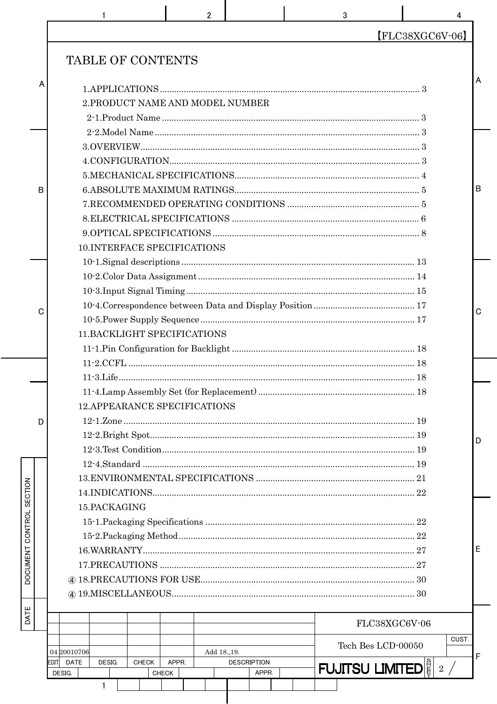|   | $\overline{2}$<br>3                                                                                       | 4                                      |   |
|---|-----------------------------------------------------------------------------------------------------------|----------------------------------------|---|
|   |                                                                                                           | $[FLC38XGC6V-06]$                      |   |
|   | TABLE OF CONTENTS                                                                                         |                                        |   |
| A |                                                                                                           |                                        | А |
|   | 2. PRODUCT NAME AND MODEL NUMBER                                                                          |                                        |   |
|   |                                                                                                           |                                        |   |
|   |                                                                                                           |                                        |   |
|   |                                                                                                           |                                        |   |
|   |                                                                                                           |                                        |   |
|   |                                                                                                           |                                        |   |
| B |                                                                                                           |                                        | B |
|   |                                                                                                           |                                        |   |
|   |                                                                                                           |                                        |   |
|   |                                                                                                           |                                        |   |
|   | 10.INTERFACE SPECIFICATIONS                                                                               |                                        |   |
|   |                                                                                                           |                                        |   |
|   |                                                                                                           |                                        |   |
|   |                                                                                                           |                                        |   |
| C |                                                                                                           |                                        | C |
|   |                                                                                                           |                                        |   |
|   | 11. BACKLIGHT SPECIFICATIONS                                                                              |                                        |   |
|   |                                                                                                           |                                        |   |
|   |                                                                                                           |                                        |   |
|   |                                                                                                           |                                        |   |
|   |                                                                                                           |                                        |   |
|   | <b>12.APPEARANCE SPECIFICATIONS</b>                                                                       |                                        |   |
| D |                                                                                                           |                                        |   |
|   |                                                                                                           |                                        | D |
|   |                                                                                                           |                                        |   |
|   |                                                                                                           |                                        |   |
|   |                                                                                                           |                                        |   |
|   |                                                                                                           |                                        |   |
|   | 15.PACKAGING                                                                                              |                                        |   |
|   |                                                                                                           |                                        |   |
|   |                                                                                                           |                                        |   |
|   |                                                                                                           |                                        | Е |
|   |                                                                                                           |                                        |   |
|   |                                                                                                           |                                        |   |
|   |                                                                                                           |                                        |   |
|   |                                                                                                           | FLC38XGC6V-06                          |   |
|   | 04 20010706<br>Add 18., 19.                                                                               | CUST.<br>Tech Bes LCD-00050            |   |
|   | <b>DATE</b><br>DESIG.<br>APPR.<br><b>DESCRIPTION</b><br>EDITI<br><b>CHECK</b><br>CHECK<br>DESIG.<br>APPR. | <b>FUJITSU LIMITED</b> $\frac{3}{2}$ 2 | F |
|   | 1                                                                                                         |                                        |   |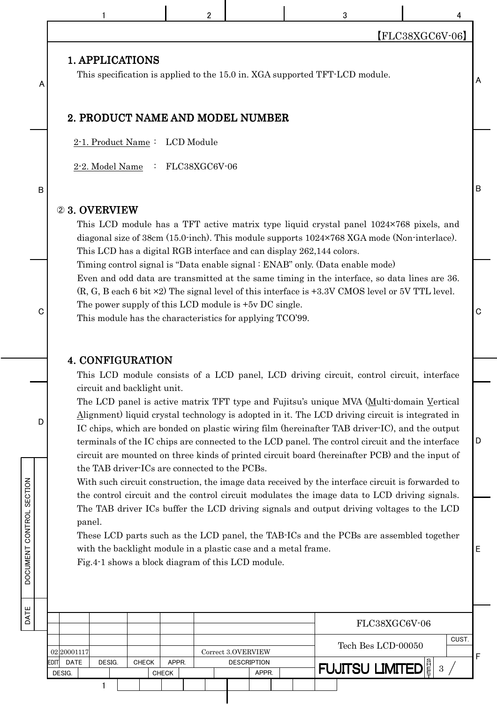|                  |                                                              | $\overline{2}$                                                                                                      |                                          | 3                                                                                                                                                                                                                                                                                                                                                                                                                                                                                                                                                                                                    |                             |         |
|------------------|--------------------------------------------------------------|---------------------------------------------------------------------------------------------------------------------|------------------------------------------|------------------------------------------------------------------------------------------------------------------------------------------------------------------------------------------------------------------------------------------------------------------------------------------------------------------------------------------------------------------------------------------------------------------------------------------------------------------------------------------------------------------------------------------------------------------------------------------------------|-----------------------------|---------|
|                  |                                                              |                                                                                                                     |                                          |                                                                                                                                                                                                                                                                                                                                                                                                                                                                                                                                                                                                      | [FLC38XGC6V-06]             |         |
| A                | 1. APPLICATIONS                                              |                                                                                                                     |                                          | This specification is applied to the 15.0 in. XGA supported TFT-LCD module.                                                                                                                                                                                                                                                                                                                                                                                                                                                                                                                          |                             | A       |
|                  | 2. PRODUCT NAME AND MODEL NUMBER                             |                                                                                                                     |                                          |                                                                                                                                                                                                                                                                                                                                                                                                                                                                                                                                                                                                      |                             |         |
|                  | 2-1. Product Name: LCD Module                                |                                                                                                                     |                                          |                                                                                                                                                                                                                                                                                                                                                                                                                                                                                                                                                                                                      |                             |         |
|                  | 2-2. Model Name : FLC38XGC6V-06                              |                                                                                                                     |                                          |                                                                                                                                                                                                                                                                                                                                                                                                                                                                                                                                                                                                      |                             |         |
| B                |                                                              |                                                                                                                     |                                          |                                                                                                                                                                                                                                                                                                                                                                                                                                                                                                                                                                                                      |                             | $\sf B$ |
|                  | 23. OVERVIEW                                                 |                                                                                                                     |                                          | This LCD module has a TFT active matrix type liquid crystal panel 1024×768 pixels, and<br>diagonal size of 38cm (15.0-inch). This module supports 1024×768 XGA mode (Non-interlace).                                                                                                                                                                                                                                                                                                                                                                                                                 |                             |         |
|                  |                                                              |                                                                                                                     |                                          | This LCD has a digital RGB interface and can display 262,144 colors.                                                                                                                                                                                                                                                                                                                                                                                                                                                                                                                                 |                             |         |
| $\mathbf C$      |                                                              | The power supply of this LCD module is +5y DC single.<br>This module has the characteristics for applying TCO'99.   |                                          | Timing control signal is "Data enable signal : ENAB" only. (Data enable mode)<br>Even and odd data are transmitted at the same timing in the interface, so data lines are 36.<br>$(R, G, B, B)$ each 6 bit $\times 2$ ) The signal level of this interface is +3.3V CMOS level or 5V TTL level.                                                                                                                                                                                                                                                                                                      |                             | C       |
|                  | <b>4. CONFIGURATION</b>                                      |                                                                                                                     |                                          |                                                                                                                                                                                                                                                                                                                                                                                                                                                                                                                                                                                                      |                             |         |
|                  |                                                              |                                                                                                                     |                                          | This LCD module consists of a LCD panel, LCD driving circuit, control circuit, interface                                                                                                                                                                                                                                                                                                                                                                                                                                                                                                             |                             |         |
| D<br>SECTION     | circuit and backlight unit.                                  | the TAB driver-ICs are connected to the PCBs.                                                                       |                                          | The LCD panel is active matrix TFT type and Fujitsu's unique MVA (Multi-domain Vertical<br>Alignment) liquid crystal technology is adopted in it. The LCD driving circuit is integrated in<br>IC chips, which are bonded on plastic wiring film (hereinafter TAB driver-IC), and the output<br>terminals of the IC chips are connected to the LCD panel. The control circuit and the interface<br>circuit are mounted on three kinds of printed circuit board (hereinafter PCB) and the input of<br>With such circuit construction, the image data received by the interface circuit is forwarded to |                             | D       |
| DOCUMENT CONTROL | panel.                                                       | with the backlight module in a plastic case and a metal frame.<br>Fig.4-1 shows a block diagram of this LCD module. |                                          | the control circuit and the control circuit modulates the image data to LCD driving signals.<br>The TAB driver ICs buffer the LCD driving signals and output driving voltages to the LCD<br>These LCD parts such as the LCD panel, the TAB-ICs and the PCBs are assembled together                                                                                                                                                                                                                                                                                                                   |                             | E       |
| DATE             |                                                              |                                                                                                                     |                                          |                                                                                                                                                                                                                                                                                                                                                                                                                                                                                                                                                                                                      | FLC38XGC6V-06               |         |
|                  |                                                              |                                                                                                                     |                                          |                                                                                                                                                                                                                                                                                                                                                                                                                                                                                                                                                                                                      | CUST.<br>Tech Bes LCD-00050 |         |
|                  | 02 20001117<br><b>DATE</b><br>DESIG.<br><b>CHECK</b><br>EDIT | APPR.                                                                                                               | Correct 3.OVERVIEW<br><b>DESCRIPTION</b> |                                                                                                                                                                                                                                                                                                                                                                                                                                                                                                                                                                                                      |                             | F       |
|                  | DESIG.<br>1                                                  | CHECK                                                                                                               | APPR.                                    | <b>FUJITSU LIMITED</b>                                                                                                                                                                                                                                                                                                                                                                                                                                                                                                                                                                               | $\mathbf{3}$                |         |
|                  |                                                              |                                                                                                                     |                                          |                                                                                                                                                                                                                                                                                                                                                                                                                                                                                                                                                                                                      |                             |         |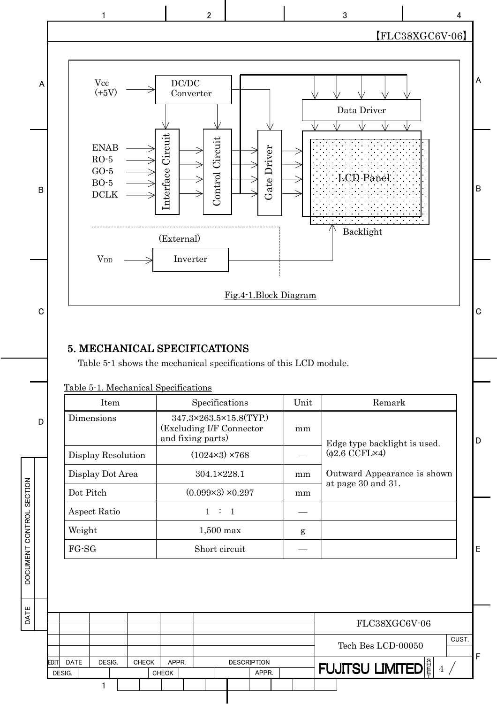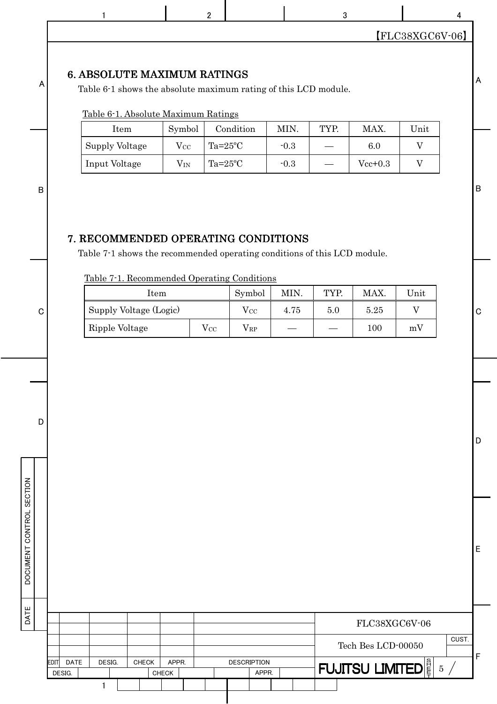| 1                                                                                                                                                                                                          |          | $\overline{2}$     |                      |        | 3    |             |                   |
|------------------------------------------------------------------------------------------------------------------------------------------------------------------------------------------------------------|----------|--------------------|----------------------|--------|------|-------------|-------------------|
|                                                                                                                                                                                                            |          |                    |                      |        |      |             | $[FLC38XGC6V-06]$ |
| <b>6. ABSOLUTE MAXIMUM RATINGS</b><br>Table 6-1 shows the absolute maximum rating of this LCD module.<br>Table 6-1. Absolute Maximum Ratings                                                               |          |                    |                      |        |      |             |                   |
| Item                                                                                                                                                                                                       | Symbol   |                    | Condition            | MIN.   | TYP. | MAX.        | Unit              |
| Supply Voltage                                                                                                                                                                                             | $V_{CC}$ | Ta= $25^{\circ}$ C |                      | $-0.3$ |      | 6.0         | V                 |
| Input Voltage                                                                                                                                                                                              | $V_{IN}$ | Ta= $25^{\circ}$ C |                      | $-0.3$ |      | $Vec+0.3$   | V                 |
|                                                                                                                                                                                                            |          |                    |                      |        |      |             |                   |
|                                                                                                                                                                                                            |          |                    |                      |        |      |             |                   |
| Item                                                                                                                                                                                                       |          |                    | Symbol               | MIN.   | TYP. | MAX.        | Unit              |
|                                                                                                                                                                                                            |          | $V_{CC}$           | $V_{CC}$<br>$V_{RP}$ | 4.75   | 5.0  | 5.25<br>100 | V<br>mV           |
|                                                                                                                                                                                                            |          |                    |                      |        |      |             |                   |
|                                                                                                                                                                                                            |          |                    |                      |        |      |             |                   |
| 7. RECOMMENDED OPERATING CONDITIONS<br>Table 7-1 shows the recommended operating conditions of this LCD module.<br>Table 7-1. Recommended Operating Conditions<br>Supply Voltage (Logic)<br>Ripple Voltage |          |                    |                      |        |      |             |                   |

|             |             |        |  |              |              |  |                    |       |  |                                        | FLC38XGC6V-06 |  |       |
|-------------|-------------|--------|--|--------------|--------------|--|--------------------|-------|--|----------------------------------------|---------------|--|-------|
|             |             |        |  |              |              |  |                    |       |  | Tech Bes LCD-00050                     |               |  | CUST. |
| <b>EDIT</b> | <b>DATE</b> | DESIG. |  | <b>CHECK</b> | APPR.        |  | <b>DESCRIPTION</b> |       |  | <b>FUJITSU LIMITED</b> $\frac{8}{5}$ 5 |               |  |       |
|             | DESIG.      |        |  |              | <b>CHECK</b> |  |                    | APPR. |  |                                        |               |  |       |
|             |             |        |  |              |              |  |                    |       |  |                                        |               |  |       |
|             |             |        |  |              |              |  |                    |       |  |                                        |               |  |       |

E

F

DATE DOCUMENT CONTROL SECTION

DATE

DOCUMENT CONTROL SECTION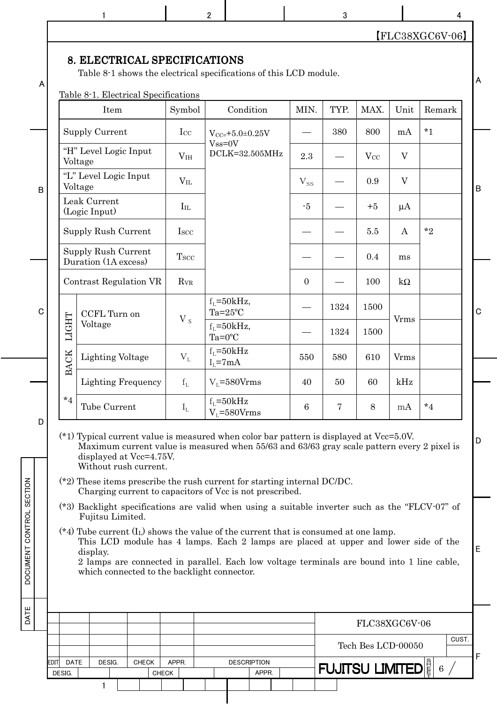| A |             | Table 8-1 shows the electrical specifications of this LCD module.                                                                                                                                                                                                                                                                                                                                                                                                                                                                                                                                                                                                                                                                                                                                                                                       |                        |                                    |                |      |               |                |             |
|---|-------------|---------------------------------------------------------------------------------------------------------------------------------------------------------------------------------------------------------------------------------------------------------------------------------------------------------------------------------------------------------------------------------------------------------------------------------------------------------------------------------------------------------------------------------------------------------------------------------------------------------------------------------------------------------------------------------------------------------------------------------------------------------------------------------------------------------------------------------------------------------|------------------------|------------------------------------|----------------|------|---------------|----------------|-------------|
|   |             | Table 8-1. Electrical Specifications<br>Item                                                                                                                                                                                                                                                                                                                                                                                                                                                                                                                                                                                                                                                                                                                                                                                                            | Symbol                 | Condition                          | MIN.           | TYP. | MAX.          | Unit           | Remark      |
|   |             | <b>Supply Current</b>                                                                                                                                                                                                                                                                                                                                                                                                                                                                                                                                                                                                                                                                                                                                                                                                                                   | Icc                    | $V_{CC=}+5.0+0.25V$                |                | 380  | 800           | mA             | $*1$        |
|   |             | "H" Level Logic Input<br>Voltage                                                                                                                                                                                                                                                                                                                                                                                                                                                                                                                                                                                                                                                                                                                                                                                                                        | V <sub>IH</sub>        | $Vss=0V$<br>DCLK=32.505MHz         | 2.3            |      | $V_{CC}$      | $\overline{V}$ |             |
|   |             | "L" Level Logic Input<br>Voltage                                                                                                                                                                                                                                                                                                                                                                                                                                                                                                                                                                                                                                                                                                                                                                                                                        | $V_{IL}$               |                                    | $V_{SS}$       |      | 0.9           | $\mathbf V$    |             |
|   |             | Leak Current<br>(Logic Input)                                                                                                                                                                                                                                                                                                                                                                                                                                                                                                                                                                                                                                                                                                                                                                                                                           | $I_{IL}$               |                                    | $-5$           |      | $+5$          | $\mu A$        |             |
|   |             | Supply Rush Current                                                                                                                                                                                                                                                                                                                                                                                                                                                                                                                                                                                                                                                                                                                                                                                                                                     | I <sub>scc</sub>       |                                    |                |      | $5.5\,$       | A              | $*_{2}$     |
|   |             | Supply Rush Current<br>Duration (1A excess)                                                                                                                                                                                                                                                                                                                                                                                                                                                                                                                                                                                                                                                                                                                                                                                                             | <b>Tscc</b>            |                                    |                |      | 0.4           | ms             |             |
|   |             | Contrast Regulation VR                                                                                                                                                                                                                                                                                                                                                                                                                                                                                                                                                                                                                                                                                                                                                                                                                                  | <b>R</b> <sub>VR</sub> |                                    | $\overline{0}$ |      | 100           | $k\Omega$      |             |
|   |             | CCFL Turn on                                                                                                                                                                                                                                                                                                                                                                                                                                                                                                                                                                                                                                                                                                                                                                                                                                            |                        | $f_1 = 50kHz,$<br>$Ta=25^{\circ}C$ |                | 1324 | 1500          |                |             |
|   | LIGHT       | Voltage                                                                                                                                                                                                                                                                                                                                                                                                                                                                                                                                                                                                                                                                                                                                                                                                                                                 | $V_s$                  | $f_1 = 50kHz,$<br>$Ta=0$ °C        |                | 1324 | 1500          | Vrms           |             |
|   | <b>BACK</b> | <b>Lighting Voltage</b>                                                                                                                                                                                                                                                                                                                                                                                                                                                                                                                                                                                                                                                                                                                                                                                                                                 | $V_L$                  | $f_1 = 50kHz$<br>$I_1 = 7mA$       | 550            | 580  | 610           | <b>V</b> rms   |             |
|   |             | <b>Lighting Frequency</b>                                                                                                                                                                                                                                                                                                                                                                                                                                                                                                                                                                                                                                                                                                                                                                                                                               | $f_L$                  | $V_1 = 580V$ rms                   | 40             | 50   | 60            | kHz            |             |
|   | $*_{4}$     | Tube Current                                                                                                                                                                                                                                                                                                                                                                                                                                                                                                                                                                                                                                                                                                                                                                                                                                            | $I_{L}$                | $f_L = 50kHz$<br>$V_1 = 580V$ rms  | 6              | 7    | 8             | mA             | $^{\star}4$ |
|   |             | $(*1)$ Typical current value is measured when color bar pattern is displayed at Vcc=5.0V.<br>Maximum current value is measured when 55/63 and 63/63 gray scale pattern every 2 pixel is<br>displayed at Vcc=4.75V.<br>Without rush current.<br>$(*)$ ? These items prescribe the rush current for starting internal DC/DC.<br>Charging current to capacitors of Vcc is not prescribed.<br>(*3) Backlight specifications are valid when using a suitable inverter such as the "FLCV-07" of<br>Fujitsu Limited.<br>(*4) Tube current $(I_L)$ shows the value of the current that is consumed at one lamp.<br>This LCD module has 4 lamps. Each 2 lamps are placed at upper and lower side of the<br>display.<br>2 lamps are connected in parallel. Each low voltage terminals are bound into 1 line cable,<br>which connected to the backlight connector. |                        |                                    |                |      |               |                |             |
|   |             |                                                                                                                                                                                                                                                                                                                                                                                                                                                                                                                                                                                                                                                                                                                                                                                                                                                         |                        |                                    |                |      |               |                |             |
|   |             |                                                                                                                                                                                                                                                                                                                                                                                                                                                                                                                                                                                                                                                                                                                                                                                                                                                         |                        |                                    |                |      | FLC38XGC6V-06 |                |             |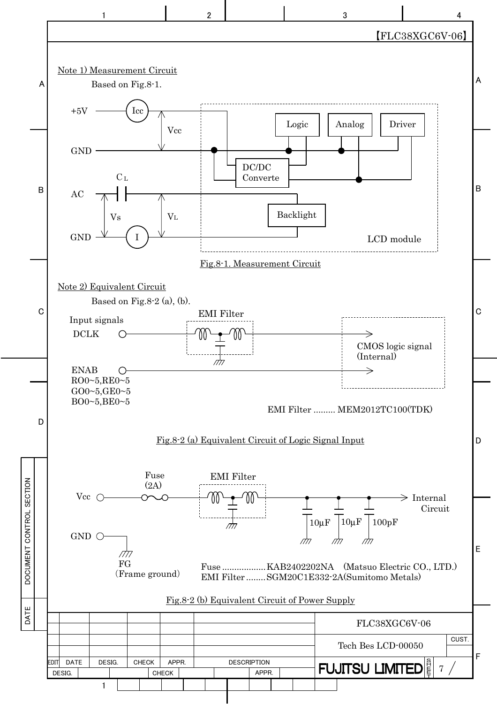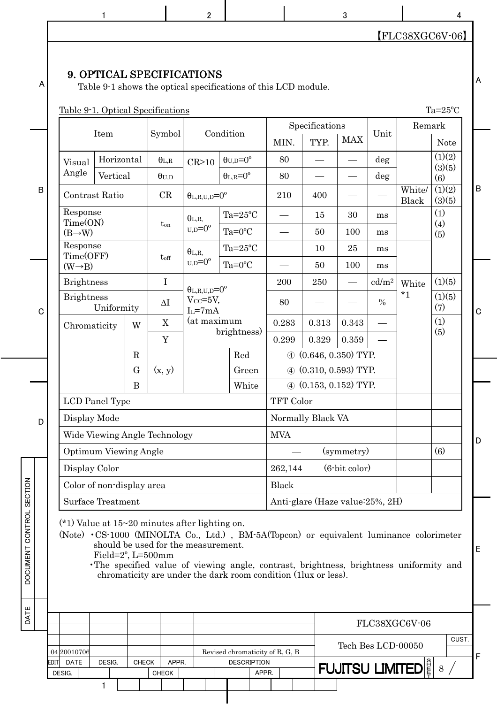$\begin{array}{ccccccccccccccccc}\n1 & 1 & 1 & 2 & 2 & 3 & 3 & 4\n\end{array}$ 

## 【FLC38XGC6V-06】

#### 9. OPTICAL SPECIFICATIONS

A

Table 9-1 shows the optical specifications of this LCD module.

|                |                     |                                                                           |             | Table 9-1. Optical Specifications               |                                |  |                            |              |                                  |               |                   |                        | $Ta=25^{\circ}C$ |             |
|----------------|---------------------|---------------------------------------------------------------------------|-------------|-------------------------------------------------|--------------------------------|--|----------------------------|--------------|----------------------------------|---------------|-------------------|------------------------|------------------|-------------|
|                |                     |                                                                           |             |                                                 |                                |  |                            |              | Specifications                   |               |                   | Remark                 |                  |             |
|                |                     | Item                                                                      |             | Symbol                                          |                                |  | Condition                  | MIN.         | TYP.                             | <b>MAX</b>    | Unit              |                        | <b>Note</b>      |             |
|                | Visual              | Horizontal                                                                |             | $\theta_{L,R}$                                  | $CR \ge 10$                    |  | $\theta_{U,D} = 0^{\rm o}$ | 80           |                                  |               | deg               |                        | (1)(2)<br>(3)(5) |             |
|                | Angle               | Vertical                                                                  |             | $\theta_{\rm U,D}$                              |                                |  | $\theta_{L,R} = 0^{\circ}$ | 80           | $\overline{\phantom{0}}$         |               | deg               |                        | (6)              |             |
| $\overline{B}$ |                     |                                                                           |             | CR                                              | $\theta_{L,R,U,D} = 0^{\circ}$ |  |                            | 210          | 400                              |               |                   | White/<br><b>Black</b> | (1)(2)<br>(3)(5) | $\sf B$     |
|                |                     |                                                                           |             | $t_{on}$                                        | $\theta_{L,R.}$                |  | Ta= $25^{\circ}$ C         |              | 15                               | 30            | ms                |                        | (1)<br>(4)       |             |
|                | $(B\rightarrow W)$  | $U.D = 0^{\circ}$<br>$\theta_{\rm L,R,}$<br>$t_{\rm off}$                 |             |                                                 |                                |  | $Ta=0$ °C                  |              | 50                               | 100           | ms                |                        | (5)              |             |
|                |                     | Contrast Ratio<br>Response<br>Time(ON)<br>Response<br>Time(OFF)           |             |                                                 |                                |  | Ta= $25^{\circ}$ C         |              | 10                               | 25            | ms                |                        |                  |             |
|                | $(W \rightarrow B)$ |                                                                           |             |                                                 | $U,D=0^{\circ}$                |  | $Ta=0$ °C                  |              | 50                               | 100           | ms                |                        |                  |             |
|                |                     | <b>Brightness</b><br><b>Brightness</b><br>Uniformity<br>W<br>Chromaticity |             | $\mathbf I$                                     | $\theta_{L,R,U,D} = 0^{\circ}$ |  |                            | 200          | 250                              |               | cd/m <sup>2</sup> | White                  | (1)(5)           |             |
| $\mathbf C$    |                     |                                                                           |             | $\Delta I$                                      | $V_{CC} = 5V$ ,<br>$I_L = 7mA$ |  |                            | 80           |                                  |               | $\frac{0}{0}$     | $*_{1}$                | (1)(5)<br>(7)    | $\mathbf C$ |
|                |                     |                                                                           |             | $\mathbf X$                                     | (at maximum                    |  |                            | 0.283        | 0.313                            | 0.343         |                   |                        | (1)<br>(5)       |             |
|                |                     |                                                                           |             | $\mathbf Y$                                     | brightness)                    |  |                            | 0.299        | 0.329                            | 0.359         |                   |                        |                  |             |
|                |                     |                                                                           | $\mathbf R$ |                                                 |                                |  | Red                        |              | $(0.646, 0.350)$ TYP.            |               |                   |                        |                  |             |
|                |                     |                                                                           | $\mathbf G$ | (x, y)                                          |                                |  | Green                      |              | $(4)$ $(0.310, 0.593)$ TYP.      |               |                   |                        |                  |             |
|                |                     |                                                                           | B           |                                                 |                                |  | White                      |              | $\Phi$ (0.153, 0.152) TYP.       |               |                   |                        |                  |             |
|                |                     | LCD Panel Type                                                            |             |                                                 |                                |  |                            | TFT Color    |                                  |               |                   |                        |                  |             |
| D              | Display Mode        |                                                                           |             |                                                 |                                |  |                            |              | Normally Black VA                |               |                   |                        |                  |             |
|                |                     |                                                                           |             | Wide Viewing Angle Technology                   |                                |  |                            | <b>MVA</b>   |                                  |               |                   |                        |                  | D           |
|                |                     | <b>Optimum Viewing Angle</b>                                              |             |                                                 |                                |  |                            |              |                                  | (symmetry)    |                   |                        | (6)              |             |
|                | Display Color       |                                                                           |             |                                                 |                                |  |                            | 262,144      |                                  | (6-bit color) |                   |                        |                  |             |
|                |                     | Color of non-display area                                                 |             |                                                 |                                |  |                            | <b>Black</b> |                                  |               |                   |                        |                  |             |
|                |                     | <b>Surface Treatment</b>                                                  |             |                                                 |                                |  |                            |              | Anti-glare (Haze value: 25%, 2H) |               |                   |                        |                  |             |
|                |                     |                                                                           |             | $(*)$ Value at 15~20 minutes after lighting on. |                                |  |                            |              |                                  |               |                   |                        |                  |             |

(Note) •CS-1000 (MINOLTA Co., Ltd.) , BM-5A(Topcon) or equivalent luminance colorimeter should be used for the measurement.

Field=2º, L=500mm

DATE DOCUMENT CONTROL SECTION

DATE

DOCUMENT CONTROL SECTION

•The specified value of viewing angle, contrast, brightness, brightness uniformity and chromaticity are under the dark room condition (1lux or less).

|      |        |                             |        |              |              |       |  |  |                             |                                 | FLC38XGC6V-06 |                                                           |
|------|--------|-----------------------------|--------|--------------|--------------|-------|--|--|-----------------------------|---------------------------------|---------------|-----------------------------------------------------------|
|      |        |                             |        |              |              |       |  |  |                             |                                 |               |                                                           |
|      |        |                             |        |              |              |       |  |  |                             |                                 |               |                                                           |
| EDIT |        |                             |        |              |              |       |  |  |                             |                                 |               |                                                           |
|      |        |                             |        |              |              |       |  |  |                             |                                 |               |                                                           |
|      |        |                             |        |              |              |       |  |  |                             |                                 |               |                                                           |
|      | DESIG. | 04 2001 0706<br><b>DATE</b> | DESIG. | <b>CHECK</b> | <b>CHECK</b> | APPR. |  |  | <b>DESCRIPTION</b><br>APPR. | Revised chromaticity of R, G, B |               | CUST<br>Tech Bes LCD-00050<br><b>FUJITSU LIMITED</b><br>8 |

A

E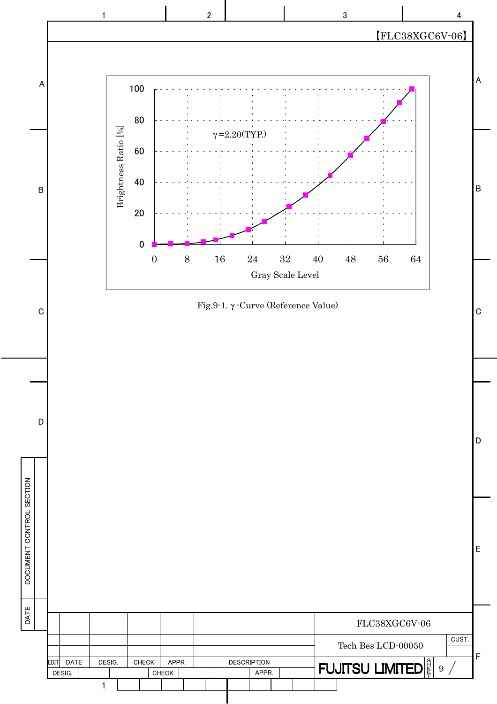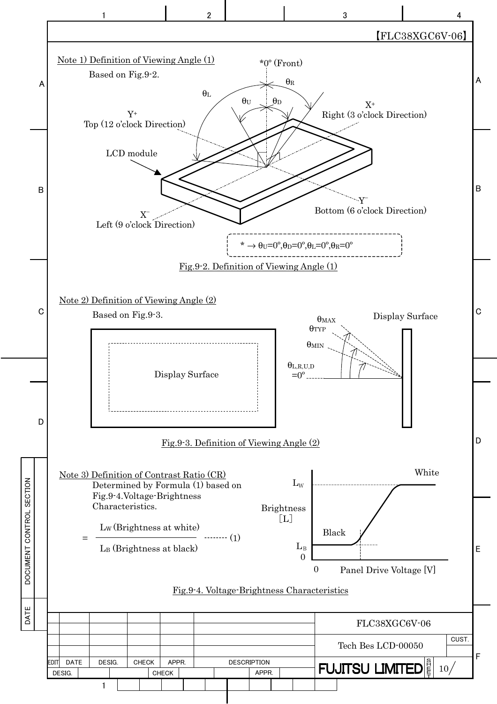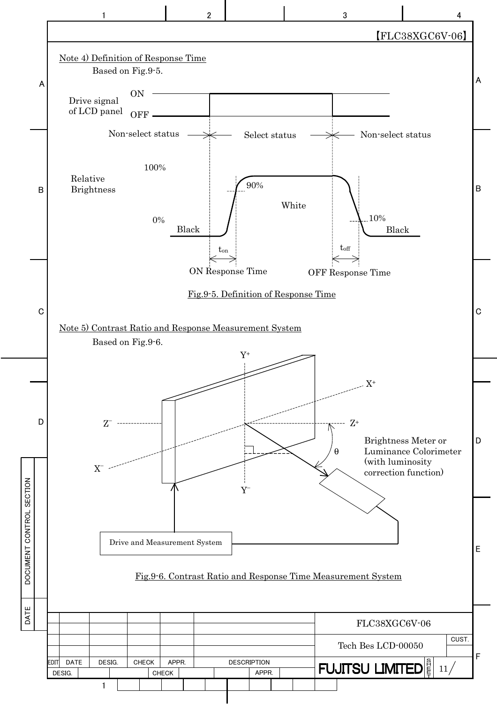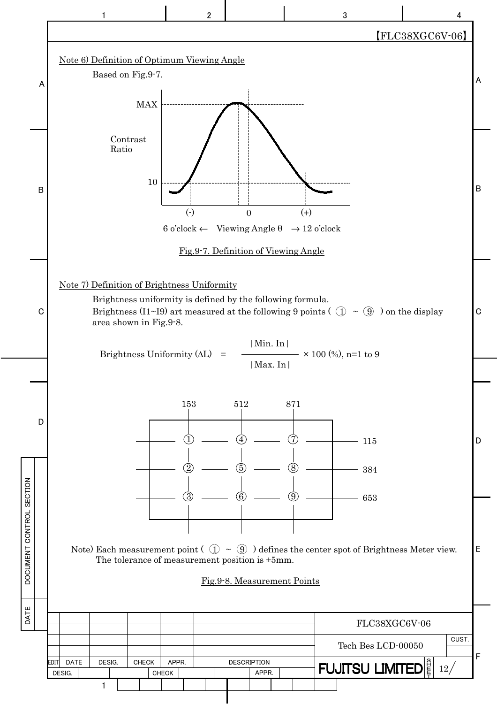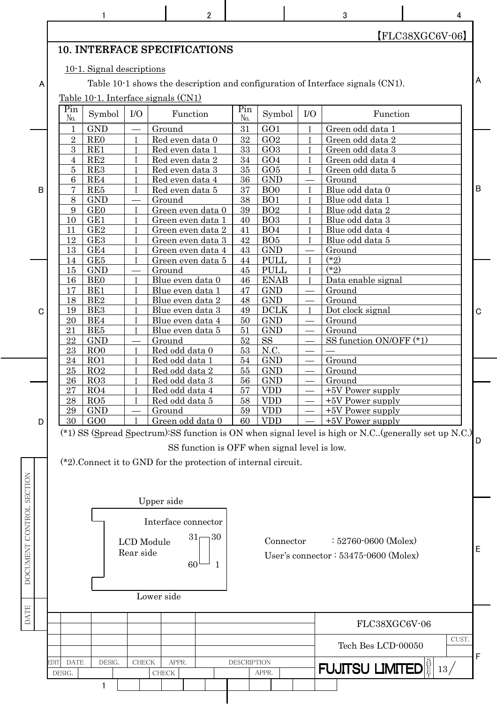|                          |                     | 1                                                                  |                   |                                        | 2                                            |             |                                    |                              | 3                                                                                                      | 4                 |             |
|--------------------------|---------------------|--------------------------------------------------------------------|-------------------|----------------------------------------|----------------------------------------------|-------------|------------------------------------|------------------------------|--------------------------------------------------------------------------------------------------------|-------------------|-------------|
|                          |                     |                                                                    |                   |                                        |                                              |             |                                    |                              |                                                                                                        | $[FLC38XGC6V-06]$ |             |
|                          |                     | <b>10. INTERFACE SPECIFICATIONS</b>                                |                   |                                        |                                              |             |                                    |                              |                                                                                                        |                   |             |
|                          |                     | 10-1. Signal descriptions                                          |                   |                                        |                                              |             |                                    |                              |                                                                                                        |                   |             |
| A                        |                     |                                                                    |                   |                                        |                                              |             |                                    |                              | Table 10-1 shows the description and configuration of Interface signals (CN1).                         |                   | A           |
|                          |                     | Table 10-1. Interface signals (CN1)                                |                   |                                        |                                              |             |                                    |                              |                                                                                                        |                   |             |
|                          | Pin                 |                                                                    |                   |                                        |                                              | Pin         |                                    |                              |                                                                                                        |                   |             |
|                          | No.                 | Symbol                                                             | I/O               |                                        | Function                                     | No.         | Symbol                             | $IO$                         | Function                                                                                               |                   |             |
|                          | 1                   | <b>GND</b>                                                         |                   | Ground                                 |                                              | 31          | GO <sub>1</sub>                    | $\mathsf{I}$                 | Green odd data 1                                                                                       |                   |             |
|                          | $\overline{2}$      | <b>REO</b>                                                         | T                 | Red even data 0                        |                                              | 32          | GO2                                | T<br>T                       | Green odd data 2                                                                                       |                   |             |
|                          | 3<br>4              | RE1<br>RE2                                                         |                   | Red even data 1<br>Red even data 2     |                                              | 33<br>34    | GO3<br>GO4                         | $\mathsf{T}$                 | Green odd data 3<br>Green odd data 4                                                                   |                   |             |
|                          | 5                   | RE3                                                                |                   | Red even data 3                        |                                              | 35          | GO5                                | $\mathbf{I}$                 | Green odd data 5                                                                                       |                   |             |
|                          | 6                   | RE4                                                                |                   | Red even data 4                        |                                              | 36          | <b>GND</b>                         |                              | Ground                                                                                                 |                   |             |
| В                        | 7                   | RE5                                                                | T                 | Red even data 5                        |                                              | 37          | B <sub>O</sub>                     | $\mathsf{I}$                 | Blue odd data 0                                                                                        |                   | B           |
|                          | 8                   | <b>GND</b>                                                         |                   | Ground                                 |                                              | 38          | BO <sub>1</sub>                    | $\mathbf{I}$<br>$\mathsf{T}$ | Blue odd data 1                                                                                        |                   |             |
|                          | 9<br>10             | GE0<br>GE1                                                         |                   | Green even data 0<br>Green even data 1 |                                              | 39<br>40    | BO <sub>2</sub><br>BO <sub>3</sub> | $\mathsf{T}$                 | Blue odd data 2<br>Blue odd data 3                                                                     |                   |             |
|                          | 11                  | GE2                                                                |                   | Green even data 2                      |                                              | 41          | BO <sub>4</sub>                    | $\mathbf{I}$                 | Blue odd data 4                                                                                        |                   |             |
|                          | 12                  | GE3                                                                |                   | Green even data 3                      |                                              | 42          | BO <sub>5</sub>                    | $\mathsf{I}$                 | Blue odd data 5                                                                                        |                   |             |
|                          | 13                  | GE4                                                                |                   | Green even data 4                      |                                              | 43          | <b>GND</b>                         |                              | Ground                                                                                                 |                   |             |
|                          | 14                  | GE5<br><b>GND</b>                                                  |                   | Green even data 5                      |                                              | 44<br>45    | <b>PULL</b><br><b>PULL</b>         | $\mathbf{I}$<br>$\mathbf{I}$ | $(*2)$<br>$(*2)$                                                                                       |                   |             |
|                          | 15<br>16            | <b>BE0</b>                                                         |                   | Ground<br>Blue even data 0             |                                              | 46          | <b>ENAB</b>                        | $\mathbf{I}$                 | Data enable signal                                                                                     |                   |             |
|                          | 17                  | BE1                                                                |                   | Blue even data 1                       |                                              | 47          | <b>GND</b>                         |                              | Ground                                                                                                 |                   |             |
|                          | 18                  | BE2                                                                |                   | Blue even data 2                       |                                              | 48          | <b>GND</b>                         |                              | Ground                                                                                                 |                   |             |
| C                        | 19                  | BE3                                                                |                   | Blue even data 3                       |                                              | 49          | <b>DCLK</b>                        | $\mathbf{I}$                 | Dot clock signal                                                                                       |                   | C           |
|                          | 20<br>21            | BE4<br>BE5                                                         | T<br>T            | Blue even data 4                       |                                              | 50<br>51    | <b>GND</b><br><b>GND</b>           |                              | Ground                                                                                                 |                   |             |
|                          | 22                  | <b>GND</b>                                                         |                   | Blue even data 5<br>Ground             |                                              | 52          | <b>SS</b>                          |                              | Ground<br>SS function ON/OFF (*1)                                                                      |                   |             |
|                          | 23                  | ROO                                                                | T                 | Red odd data 0                         |                                              | 53          | N.C.                               |                              |                                                                                                        |                   |             |
|                          | 24                  | RO1                                                                |                   | Red odd data 1                         |                                              | 54          | <b>GND</b>                         |                              | Ground                                                                                                 |                   |             |
|                          | 25                  | RO2                                                                |                   | Red odd data 2                         |                                              | 55          | <b>GND</b>                         |                              | Ground                                                                                                 |                   |             |
|                          | 26<br>27            | RO3<br>RO4                                                         |                   | Red odd data 3<br>Red odd data 4       |                                              | 56<br>57    | <b>GND</b><br><b>VDD</b>           |                              | Ground<br>$+5V$ Power supply                                                                           |                   |             |
|                          | 28                  | RO5                                                                |                   | Red odd data 5                         |                                              | 58          | <b>VDD</b>                         |                              | +5V Power supply                                                                                       |                   |             |
|                          | 29                  | <b>GND</b>                                                         |                   | Ground                                 |                                              | 59          | <b>VDD</b>                         |                              | $+5V$ Power supply                                                                                     |                   |             |
| D                        | 30                  | GOO                                                                |                   | Green odd data 0                       |                                              | 60          | <b>VDD</b>                         |                              | $+5V$ Power supply                                                                                     |                   |             |
|                          |                     |                                                                    |                   |                                        |                                              |             |                                    |                              | (*1) SS (Spread Spectrum): SS function is ON when signal level is high or N.C. (generally set up N.C.) |                   |             |
|                          |                     |                                                                    |                   |                                        | SS function is OFF when signal level is low. |             |                                    |                              |                                                                                                        |                   | D           |
|                          |                     | $(*2)$ . Connect it to GND for the protection of internal circuit. |                   |                                        |                                              |             |                                    |                              |                                                                                                        |                   |             |
|                          |                     |                                                                    |                   |                                        |                                              |             |                                    |                              |                                                                                                        |                   |             |
| DOCUMENT CONTROL SECTION |                     |                                                                    |                   |                                        |                                              |             |                                    |                              |                                                                                                        |                   |             |
|                          |                     |                                                                    |                   |                                        |                                              |             |                                    |                              |                                                                                                        |                   |             |
|                          |                     |                                                                    |                   | Upper side                             |                                              |             |                                    |                              |                                                                                                        |                   |             |
|                          |                     |                                                                    |                   | Interface connector                    |                                              |             |                                    |                              |                                                                                                        |                   |             |
|                          |                     |                                                                    |                   |                                        | $31-$<br>30                                  |             |                                    |                              |                                                                                                        |                   |             |
|                          |                     |                                                                    | <b>LCD</b> Module |                                        |                                              |             | Connector                          |                              | $: 52760 \cdot 0600$ (Molex)                                                                           |                   | E           |
|                          |                     |                                                                    | Rear side         |                                        |                                              |             |                                    |                              | User's connector: 53475-0600 (Molex)                                                                   |                   |             |
|                          |                     |                                                                    |                   |                                        | 60<br>1                                      |             |                                    |                              |                                                                                                        |                   |             |
|                          |                     |                                                                    |                   |                                        |                                              |             |                                    |                              |                                                                                                        |                   |             |
|                          |                     |                                                                    |                   | Lower side                             |                                              |             |                                    |                              |                                                                                                        |                   |             |
|                          |                     |                                                                    |                   |                                        |                                              |             |                                    |                              |                                                                                                        |                   |             |
| <b>DATE</b>              |                     |                                                                    |                   |                                        |                                              |             |                                    |                              | FLC38XGC6V-06                                                                                          |                   |             |
|                          |                     |                                                                    |                   |                                        |                                              |             |                                    |                              | Tech Bes LCD-00050                                                                                     | CUST.             |             |
|                          | <b>DATE</b><br>EDIT | DESIG.                                                             | CHECK             | APPR.                                  |                                              | DESCRIPTION |                                    |                              |                                                                                                        |                   | $\mathsf F$ |
|                          | DESIG.              |                                                                    |                   | <b>CHECK</b>                           |                                              |             | APPR.                              |                              | <b>FUJITSU LIMITED</b>                                                                                 | 13/               |             |
|                          |                     |                                                                    |                   |                                        |                                              |             |                                    |                              |                                                                                                        |                   |             |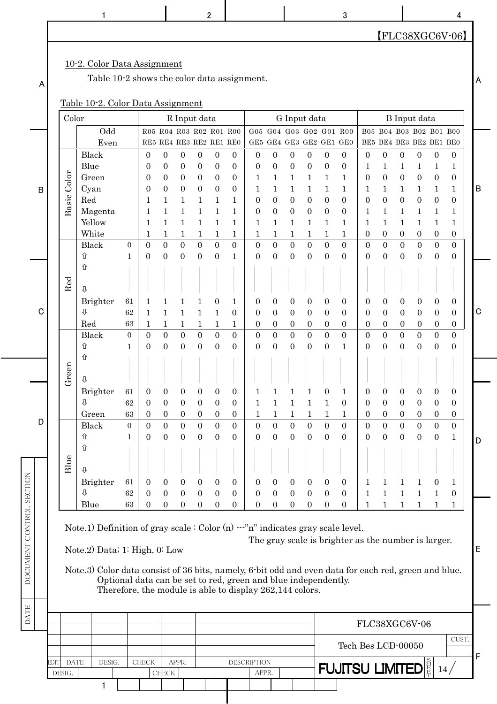|                          |             |                       | 1                                                                                                                                                                                                                                                                                                                                                                  |                                                |                                                                   |                                                                                                              |                                                                               |                                                                                      | 2                                                                                        |                                                                                      |                                                          |                                                                                            |                                                                                    |                                                                                          |                                                                                              | 3                                                                                |                                                                                  |                                                                                              |                                                                                            |                                                                                          |                                                                                            | 4                                                                            |             |
|--------------------------|-------------|-----------------------|--------------------------------------------------------------------------------------------------------------------------------------------------------------------------------------------------------------------------------------------------------------------------------------------------------------------------------------------------------------------|------------------------------------------------|-------------------------------------------------------------------|--------------------------------------------------------------------------------------------------------------|-------------------------------------------------------------------------------|--------------------------------------------------------------------------------------|------------------------------------------------------------------------------------------|--------------------------------------------------------------------------------------|----------------------------------------------------------|--------------------------------------------------------------------------------------------|------------------------------------------------------------------------------------|------------------------------------------------------------------------------------------|----------------------------------------------------------------------------------------------|----------------------------------------------------------------------------------|----------------------------------------------------------------------------------|----------------------------------------------------------------------------------------------|--------------------------------------------------------------------------------------------|------------------------------------------------------------------------------------------|--------------------------------------------------------------------------------------------|------------------------------------------------------------------------------|-------------|
|                          |             |                       |                                                                                                                                                                                                                                                                                                                                                                    |                                                |                                                                   |                                                                                                              |                                                                               |                                                                                      |                                                                                          |                                                                                      |                                                          |                                                                                            |                                                                                    |                                                                                          |                                                                                              |                                                                                  |                                                                                  |                                                                                              |                                                                                            |                                                                                          |                                                                                            | $[FLC38XGC6V-06]$                                                            |             |
| A                        |             |                       | 10-2. Color Data Assignment<br>Table 10-2 shows the color data assignment.<br>Table 10-2. Color Data Assignment                                                                                                                                                                                                                                                    |                                                |                                                                   |                                                                                                              |                                                                               |                                                                                      |                                                                                          |                                                                                      |                                                          |                                                                                            |                                                                                    |                                                                                          |                                                                                              |                                                                                  |                                                                                  |                                                                                              |                                                                                            |                                                                                          |                                                                                            |                                                                              | A           |
|                          |             | Color                 |                                                                                                                                                                                                                                                                                                                                                                    |                                                |                                                                   |                                                                                                              |                                                                               | R Input data                                                                         |                                                                                          |                                                                                      |                                                          |                                                                                            |                                                                                    | G Input data                                                                             |                                                                                              |                                                                                  |                                                                                  |                                                                                              |                                                                                            | <b>B</b> Input data                                                                      |                                                                                            |                                                                              |             |
|                          |             |                       | Odd<br>Even                                                                                                                                                                                                                                                                                                                                                        |                                                |                                                                   | R05 R04 R03 R02 R01 R00<br>RE5 RE4 RE3 RE2 RE1 RE0                                                           |                                                                               |                                                                                      |                                                                                          |                                                                                      |                                                          | G05 G04 G03 G02 G01 R00<br>GE5 GE4 GE3 GE2 GE1 GE0                                         |                                                                                    |                                                                                          |                                                                                              |                                                                                  |                                                                                  |                                                                                              |                                                                                            | B05 B04 B03 B02 B01 B00<br>BE5 BE4 BE3 BE2 BE1 BE0                                       |                                                                                            |                                                                              |             |
| B                        |             | Color<br>Basic        | Black<br>Blue<br>Green<br>Cyan<br>Red<br>Magenta<br>Yellow<br>White                                                                                                                                                                                                                                                                                                |                                                | $\theta$<br>$\theta$<br>0<br>$\boldsymbol{0}$<br>1<br>1<br>1<br>1 | $\mathbf{0}$<br>$\overline{0}$<br>$\overline{0}$<br>$\overline{0}$<br>1<br>$\mathbf{1}$<br>$\mathbf{1}$<br>1 | $\boldsymbol{0}$<br>$\boldsymbol{0}$<br>$\mathbf{0}$<br>0<br>1<br>1<br>1<br>1 | $\overline{0}$<br>$\mathbf{0}$<br>$\overline{0}$<br>$\mathbf{0}$<br>1<br>1<br>1<br>1 | $\overline{0}$<br>$\overline{0}$<br>$\mathbf{0}$<br>$\boldsymbol{0}$<br>1<br>1<br>1<br>1 | $\overline{0}$<br>$\mathbf{0}$<br>$\overline{0}$<br>$\mathbf{0}$<br>1<br>1<br>1<br>1 | $\overline{0}$<br>0<br>1<br>1<br>0<br>0<br>1<br>1        | $\boldsymbol{0}$<br>$\mathbf{0}$<br>1<br>1<br>$\overline{0}$<br>$\boldsymbol{0}$<br>1<br>1 | 0<br>$\mathbf{0}$<br>1<br>1<br>$\overline{0}$<br>$\boldsymbol{0}$<br>1<br>1        | $\boldsymbol{0}$<br>$\mathbf{0}$<br>1<br>1<br>$\mathbf{0}$<br>$\boldsymbol{0}$<br>1<br>1 | $\boldsymbol{0}$<br>$\boldsymbol{0}$<br>1<br>1<br>$\mathbf{0}$<br>$\boldsymbol{0}$<br>1<br>1 | $\mathbf{0}$<br>$\boldsymbol{0}$<br>1<br>1<br>$\theta$<br>$\theta$<br>1<br>1     | $\overline{0}$<br>1<br>$\theta$<br>1<br>$\overline{0}$<br>1<br>1<br>$\mathbf{0}$ | $\boldsymbol{0}$<br>1<br>$\boldsymbol{0}$<br>1<br>$\mathbf{0}$<br>1<br>1<br>$\boldsymbol{0}$ | $\boldsymbol{0}$<br>1<br>$\mathbf{0}$<br>1<br>$\boldsymbol{0}$<br>1<br>1<br>$\overline{0}$ | $\boldsymbol{0}$<br>1<br>$\boldsymbol{0}$<br>1<br>$\boldsymbol{0}$<br>1<br>1<br>0        | $\boldsymbol{0}$<br>1<br>$\overline{0}$<br>$\mathbf{1}$<br>$\mathbf{0}$<br>1<br>1<br>0     | $\mathbf{0}$<br>1<br>$\boldsymbol{0}$<br>1<br>$\overline{0}$<br>1<br>1<br>0  | B           |
|                          |             |                       | <b>Black</b><br>⇧                                                                                                                                                                                                                                                                                                                                                  | $\overline{0}$<br>$\mathbf{1}$                 | $\overline{0}$<br>$\overline{0}$                                  | $\overline{0}$<br>$\boldsymbol{0}$                                                                           | $\boldsymbol{0}$<br>$\mathbf{0}$                                              | $\overline{0}$<br>$\overline{0}$                                                     | $\overline{0}$<br>$\boldsymbol{0}$                                                       | $\mathbf{0}$<br>$\mathbf{1}$                                                         | $\boldsymbol{0}$<br>$\overline{0}$                       | $\overline{0}$<br>$\boldsymbol{0}$                                                         | $\overline{0}$<br>$\boldsymbol{0}$                                                 | $\boldsymbol{0}$<br>$\boldsymbol{0}$                                                     | $\overline{0}$<br>$\overline{0}$                                                             | $\overline{0}$<br>$\Omega$                                                       | $\overline{0}$<br>$\overline{0}$                                                 | $\boldsymbol{0}$<br>$\overline{0}$                                                           | $\overline{0}$<br>$\overline{0}$                                                           | $\overline{0}$<br>$\overline{0}$                                                         | $\overline{0}$<br>$\boldsymbol{0}$                                                         | $\mathbf{0}$<br>$\boldsymbol{0}$                                             |             |
| С                        |             | Red                   | ⇧<br>$\overline{v}$<br>Brighter<br>⇩<br>Red<br>Black<br>⇧                                                                                                                                                                                                                                                                                                          | 61<br>62<br>63<br>$\mathbf{0}$<br>$\mathbf{1}$ | 1<br>1<br>1<br>$\boldsymbol{0}$<br>$\theta$                       | 1<br>$\mathbf{1}$<br>$\mathbf 1$<br>$\overline{0}$<br>$\overline{0}$                                         | 1<br>1<br>1<br>$\boldsymbol{0}$<br>$\boldsymbol{0}$                           | 1<br>1<br>1<br>$\boldsymbol{0}$<br>$\boldsymbol{0}$                                  | $\overline{0}$<br>$\mathbf{1}$<br>1<br>$\overline{0}$<br>$\boldsymbol{0}$                | 1<br>$\overline{0}$<br>1<br>$\mathbf{0}$<br>$\mathbf{0}$                             | 0<br>0<br>$\theta$<br>$\boldsymbol{0}$<br>$\overline{0}$ | $\mathbf{0}$<br>$\mathbf{0}$<br>$\theta$<br>$\mathbf{0}$<br>$\boldsymbol{0}$               | $\mathbf{0}$<br>$\mathbf{0}$<br>$\mathbf{0}$<br>$\overline{0}$<br>$\boldsymbol{0}$ | $\boldsymbol{0}$<br>$\mathbf{0}$<br>0<br>$\boldsymbol{0}$<br>$\boldsymbol{0}$            | $\boldsymbol{0}$<br>$\overline{0}$<br>$\mathbf{0}$<br>$\overline{0}$<br>$\boldsymbol{0}$     | $\boldsymbol{0}$<br>$\theta$<br>$\overline{0}$<br>$\overline{0}$<br>$\mathbf{1}$ | 0<br>$\overline{0}$<br>$\mathbf{0}$<br>$\mathbf{0}$<br>$\mathbf{0}$              | $\overline{0}$<br>$\overline{0}$<br>$\overline{0}$<br>$\boldsymbol{0}$<br>$\mathbf{0}$       | $\boldsymbol{0}$<br>$\mathbf{0}$<br>$\mathbf{0}$<br>$\mathbf{0}$<br>$\boldsymbol{0}$       | $\boldsymbol{0}$<br>$\overline{0}$<br>$\overline{0}$<br>$\overline{0}$<br>$\overline{0}$ | $\boldsymbol{0}$<br>$\overline{0}$<br>$\mathbf{0}$<br>$\boldsymbol{0}$<br>$\boldsymbol{0}$ | $\boldsymbol{0}$<br>$\mathbf{0}$<br>$\mathbf{0}$<br>$\mathbf{0}$<br>$\theta$ | $\mathbf C$ |
|                          |             | en                    | ⇧                                                                                                                                                                                                                                                                                                                                                                  |                                                |                                                                   |                                                                                                              |                                                                               |                                                                                      |                                                                                          |                                                                                      |                                                          |                                                                                            |                                                                                    |                                                                                          |                                                                                              |                                                                                  |                                                                                  |                                                                                              |                                                                                            |                                                                                          |                                                                                            |                                                                              |             |
|                          |             | Gre                   | ⇩<br>Brighter<br>⇩<br>Green                                                                                                                                                                                                                                                                                                                                        | 61<br>62<br>63                                 | $\mathbf{0}$<br>$\overline{0}$<br>$\overline{0}$                  | $\boldsymbol{0}$<br>$\mathbf{0}$<br>$\mathbf{0}$                                                             | $\theta$<br>$\mathbf{0}$<br>$\boldsymbol{0}$                                  | $\overline{0}$<br>$\overline{0}$<br>$\boldsymbol{0}$                                 | $\overline{0}$<br>$\mathbf{0}$<br>$\boldsymbol{0}$                                       | $\overline{0}$<br>$\mathbf{0}$<br>$\boldsymbol{0}$                                   | 1<br>1<br>1                                              | 1<br>$\mathbf{1}$<br>1                                                                     | 1<br>$\mathbf{1}$<br>1                                                             | $\mathbf{1}$<br>1                                                                        | 0<br>$\mathbf{1}$<br>1                                                                       | 1<br>$\theta$<br>1                                                               | 0<br>$\mathbf{0}$<br>$\overline{0}$                                              | $\theta$<br>$\mathbf{0}$<br>$\mathbf{0}$                                                     | $\mathbf{0}$<br>$\boldsymbol{0}$<br>$\overline{0}$                                         | $\theta$<br>$\boldsymbol{0}$<br>$\boldsymbol{0}$                                         | 0<br>$\mathbf{0}$<br>$\overline{0}$                                                        | $\overline{0}$<br>$\overline{0}$<br>$\boldsymbol{0}$                         |             |
| D                        |             | Blue                  | Black<br>⇧<br>⇧<br>⇩                                                                                                                                                                                                                                                                                                                                               | $\overline{0}$<br>1                            | $\overline{0}$<br>$\overline{0}$                                  | $\overline{0}$<br>$\mathbf{0}$                                                                               | $\overline{0}$<br>$\mathbf{0}$                                                | $\overline{0}$<br>$\mathbf{0}$                                                       | $\overline{0}$<br>$\mathbf{0}$                                                           | $\overline{0}$<br>$\mathbf{0}$                                                       | $\overline{0}$<br>$\theta$                               | $\overline{0}$<br>$\mathbf{0}$                                                             | $\overline{0}$<br>$\mathbf{0}$                                                     | $\overline{0}$<br>$\overline{0}$                                                         | $\overline{0}$<br>$\overline{0}$                                                             | $\overline{0}$<br>$\mathbf{0}$                                                   | $\overline{0}$<br>$\mathbf{0}$                                                   | $\mathbf{0}$<br>$\boldsymbol{0}$                                                             | $\overline{0}$<br>$\overline{0}$                                                           | $\overline{0}$<br>$\boldsymbol{0}$                                                       | $\overline{0}$<br>$\mathbf{0}$                                                             | $\overline{0}$<br>$\mathbf{1}$                                               | D           |
|                          |             |                       | Brighter<br>⇩                                                                                                                                                                                                                                                                                                                                                      | 61<br>62                                       | $\mathbf{0}$<br>$\overline{0}$                                    | $\mathbf{0}$<br>$\boldsymbol{0}$                                                                             | $\boldsymbol{0}$<br>$\mathbf{0}$                                              | $\overline{0}$<br>$\mathbf{0}$                                                       | $\overline{0}$<br>$\boldsymbol{0}$                                                       | $\mathbf{0}$<br>$\boldsymbol{0}$                                                     | 0<br>$\mathbf{0}$                                        | $\boldsymbol{0}$<br>$\boldsymbol{0}$                                                       | $\overline{0}$<br>$\mathbf{0}$                                                     | $\mathbf{0}$<br>$\mathbf{0}$                                                             | $\overline{0}$<br>$\mathbf{0}$                                                               | $\mathbf{0}$<br>$\mathbf{0}$                                                     | $\mathbf{1}$<br>$\mathbf{1}$                                                     | 1<br>$\mathbf{1}$                                                                            | 1<br>$\mathbf{1}$                                                                          | 1<br>$\mathbf{1}$                                                                        | $\theta$<br>1                                                                              | 1<br>$\mathbf{0}$                                                            |             |
| DOCUMENT CONTROL SECTION |             |                       | Blue<br>Note.1) Definition of gray scale $:$ Color (n) $--$ "n" indicates gray scale level.<br>Note.2) Data; 1: High, 0: Low<br>Note.3) Color data consist of 36 bits, namely, 6 bit odd and even data for each red, green and blue.<br>Optional data can be set to red, green and blue independently.<br>Therefore, the module is able to display 262,144 colors. | 63                                             | $\overline{0}$                                                    | $\mathbf{0}$                                                                                                 | $\mathbf{0}$                                                                  | $\mathbf{0}$                                                                         | $\boldsymbol{0}$                                                                         | $\mathbf{0}$                                                                         | 0                                                        | $\mathbf{0}$                                                                               | $\boldsymbol{0}$                                                                   | $\mathbf{0}$                                                                             | $\mathbf{0}$                                                                                 | $\overline{0}$<br>The gray scale is brighter as the number is larger.            | $\mathbf{1}$                                                                     | $\mathbf{1}$                                                                                 | $\mathbf{1}$                                                                               | 1                                                                                        | $\mathbf{1}$                                                                               | $\mathbf{1}$                                                                 | E           |
| <b>DATE</b>              |             |                       |                                                                                                                                                                                                                                                                                                                                                                    |                                                |                                                                   |                                                                                                              |                                                                               |                                                                                      |                                                                                          |                                                                                      |                                                          |                                                                                            |                                                                                    |                                                                                          |                                                                                              |                                                                                  |                                                                                  |                                                                                              |                                                                                            |                                                                                          |                                                                                            |                                                                              |             |
|                          |             |                       |                                                                                                                                                                                                                                                                                                                                                                    |                                                |                                                                   |                                                                                                              |                                                                               |                                                                                      |                                                                                          |                                                                                      |                                                          |                                                                                            |                                                                                    |                                                                                          |                                                                                              |                                                                                  | FLC38XGC6V-06                                                                    |                                                                                              |                                                                                            |                                                                                          |                                                                                            |                                                                              |             |
|                          |             |                       |                                                                                                                                                                                                                                                                                                                                                                    |                                                |                                                                   |                                                                                                              |                                                                               |                                                                                      |                                                                                          |                                                                                      |                                                          |                                                                                            |                                                                                    |                                                                                          |                                                                                              | Tech Bes LCD-00050                                                               |                                                                                  |                                                                                              |                                                                                            |                                                                                          |                                                                                            | CUST.                                                                        |             |
|                          | <b>EDIT</b> | <b>DATE</b><br>DESIG. | DESIG.                                                                                                                                                                                                                                                                                                                                                             |                                                | <b>CHECK</b>                                                      | APPR.<br><b>CHECK</b>                                                                                        |                                                                               |                                                                                      |                                                                                          |                                                                                      | <b>DESCRIPTION</b><br>APPR.                              |                                                                                            |                                                                                    |                                                                                          |                                                                                              | <b>FUJITSU LIMITED</b>                                                           |                                                                                  |                                                                                              |                                                                                            |                                                                                          | 14/                                                                                        |                                                                              | F           |
|                          |             |                       | 1                                                                                                                                                                                                                                                                                                                                                                  |                                                |                                                                   |                                                                                                              |                                                                               |                                                                                      |                                                                                          |                                                                                      |                                                          |                                                                                            |                                                                                    |                                                                                          |                                                                                              |                                                                                  |                                                                                  |                                                                                              |                                                                                            |                                                                                          |                                                                                            |                                                                              |             |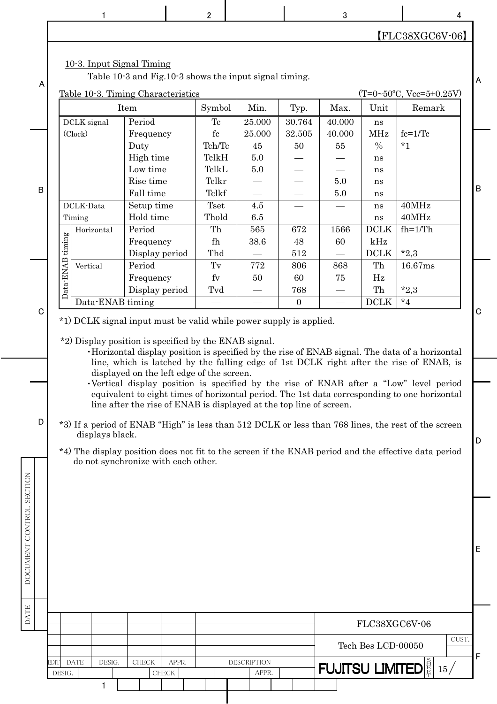|                                                   |                     |                                                                                                                                                                                                                                               |                                                                                                                                                                                                                                                                                 |                | 2                                                                                                                               |                                                                                                                                                           |                                                                                | 3                                                                   |                                                                                                                                             |                                                                                                                                                                                                                                                                                                                                                                                                                                                                                                                                                                                                                                                                                                      | 4     |                        |
|---------------------------------------------------|---------------------|-----------------------------------------------------------------------------------------------------------------------------------------------------------------------------------------------------------------------------------------------|---------------------------------------------------------------------------------------------------------------------------------------------------------------------------------------------------------------------------------------------------------------------------------|----------------|---------------------------------------------------------------------------------------------------------------------------------|-----------------------------------------------------------------------------------------------------------------------------------------------------------|--------------------------------------------------------------------------------|---------------------------------------------------------------------|---------------------------------------------------------------------------------------------------------------------------------------------|------------------------------------------------------------------------------------------------------------------------------------------------------------------------------------------------------------------------------------------------------------------------------------------------------------------------------------------------------------------------------------------------------------------------------------------------------------------------------------------------------------------------------------------------------------------------------------------------------------------------------------------------------------------------------------------------------|-------|------------------------|
|                                                   |                     |                                                                                                                                                                                                                                               |                                                                                                                                                                                                                                                                                 |                |                                                                                                                                 |                                                                                                                                                           |                                                                                |                                                                     |                                                                                                                                             | $[FLC38XGC6V-06]$                                                                                                                                                                                                                                                                                                                                                                                                                                                                                                                                                                                                                                                                                    |       |                        |
| A                                                 |                     | 10-3. Input Signal Timing                                                                                                                                                                                                                     |                                                                                                                                                                                                                                                                                 |                |                                                                                                                                 | Table 10-3 and Fig.10-3 shows the input signal timing.                                                                                                    |                                                                                |                                                                     |                                                                                                                                             |                                                                                                                                                                                                                                                                                                                                                                                                                                                                                                                                                                                                                                                                                                      |       | A                      |
|                                                   |                     | Table 10-3. Timing Characteristics                                                                                                                                                                                                            | Item                                                                                                                                                                                                                                                                            |                | Symbol                                                                                                                          | Min.                                                                                                                                                      | Typ.                                                                           | Max.                                                                | Unit                                                                                                                                        | $(T=0.50^{\circ}C, Vcc=5\pm0.25V)$<br>Remark                                                                                                                                                                                                                                                                                                                                                                                                                                                                                                                                                                                                                                                         |       |                        |
|                                                   |                     |                                                                                                                                                                                                                                               |                                                                                                                                                                                                                                                                                 |                |                                                                                                                                 |                                                                                                                                                           |                                                                                |                                                                     |                                                                                                                                             |                                                                                                                                                                                                                                                                                                                                                                                                                                                                                                                                                                                                                                                                                                      |       |                        |
| B<br>$\mathbf C$<br>D<br>DOCUMENT CONTROL SECTION | timing<br>Data-ENAB | DCLK signal<br>(Clock)<br>DCLK-Data<br>Timing<br>Horizontal<br>Vertical<br>Data-ENAB timing<br>*1) DCLK signal input must be valid while power supply is applied.<br>*2) Display position is specified by the ENAB signal.<br>displays black. | Period<br>Frequency<br>Duty<br>High time<br>Low time<br>Rise time<br>Fall time<br>Setup time<br>Hold time<br>Period<br>Frequency<br>Display period<br>Period<br>Frequency<br>Display period<br>displayed on the left edge of the screen.<br>do not synchronize with each other. |                | Tc<br>${\rm fc}$<br>Tch/Tc<br>TclkH<br>TelkL<br>Telkr<br>Telkf<br><b>Tset</b><br>Thold<br>Th<br>fh<br>Thd<br>Tv<br>$f_V$<br>Tvd | 25.000<br>25.000<br>45<br>$5.0\,$<br>5.0<br>4.5<br>6.5<br>565<br>38.6<br>772<br>50<br>line after the rise of ENAB is displayed at the top line of screen. | 30.764<br>32.505<br>50<br>672<br>48<br>512<br>806<br>60<br>768<br>$\mathbf{0}$ | 40.000<br>40.000<br>55<br>$5.0\,$<br>5.0<br>1566<br>60<br>868<br>75 | ns<br><b>MHz</b><br>$\frac{0}{0}$<br>ns<br>ns<br>ns<br>ns<br>ns<br>ns<br><b>DCLK</b><br>kHz<br><b>DCLK</b><br>Th<br>Hz<br>Th<br><b>DCLK</b> | $fc=1/Tc$<br>$*_{1}$<br>40MHz<br>40MHz<br>$fh=1/Th$<br>$*2,3$<br>16.67ms<br>$*2,3$<br>$*_{4}$<br>. Horizontal display position is specified by the rise of ENAB signal. The data of a horizontal<br>line, which is latched by the falling edge of 1st DCLK right after the rise of ENAB, is<br>•Vertical display position is specified by the rise of ENAB after a "Low" level period<br>equivalent to eight times of horizontal period. The 1st data corresponding to one horizontal<br>*3) If a period of ENAB "High" is less than 512 DCLK or less than 768 lines, the rest of the screen<br>*4) The display position does not fit to the screen if the ENAB period and the effective data period |       | $\sf B$<br>C<br>D<br>Е |
| DATE                                              |                     |                                                                                                                                                                                                                                               |                                                                                                                                                                                                                                                                                 |                |                                                                                                                                 |                                                                                                                                                           |                                                                                |                                                                     |                                                                                                                                             |                                                                                                                                                                                                                                                                                                                                                                                                                                                                                                                                                                                                                                                                                                      |       |                        |
|                                                   |                     |                                                                                                                                                                                                                                               |                                                                                                                                                                                                                                                                                 |                |                                                                                                                                 |                                                                                                                                                           |                                                                                |                                                                     | FLC38XGC6V-06                                                                                                                               |                                                                                                                                                                                                                                                                                                                                                                                                                                                                                                                                                                                                                                                                                                      |       |                        |
|                                                   |                     |                                                                                                                                                                                                                                               |                                                                                                                                                                                                                                                                                 |                |                                                                                                                                 |                                                                                                                                                           |                                                                                |                                                                     | Tech Bes LCD-00050                                                                                                                          |                                                                                                                                                                                                                                                                                                                                                                                                                                                                                                                                                                                                                                                                                                      | CUST. | F                      |
|                                                   | EDIT<br>DESIG.      | DESIG.<br><b>DATE</b>                                                                                                                                                                                                                         | <b>CHECK</b>                                                                                                                                                                                                                                                                    | APPR.<br>CHECK |                                                                                                                                 | <b>DESCRIPTION</b><br>APPR.                                                                                                                               |                                                                                | <b>FUJITSU LIMITED</b>                                              |                                                                                                                                             | 15/                                                                                                                                                                                                                                                                                                                                                                                                                                                                                                                                                                                                                                                                                                  |       |                        |
|                                                   |                     | $\mathbf{1}$                                                                                                                                                                                                                                  |                                                                                                                                                                                                                                                                                 |                |                                                                                                                                 |                                                                                                                                                           |                                                                                |                                                                     |                                                                                                                                             |                                                                                                                                                                                                                                                                                                                                                                                                                                                                                                                                                                                                                                                                                                      |       |                        |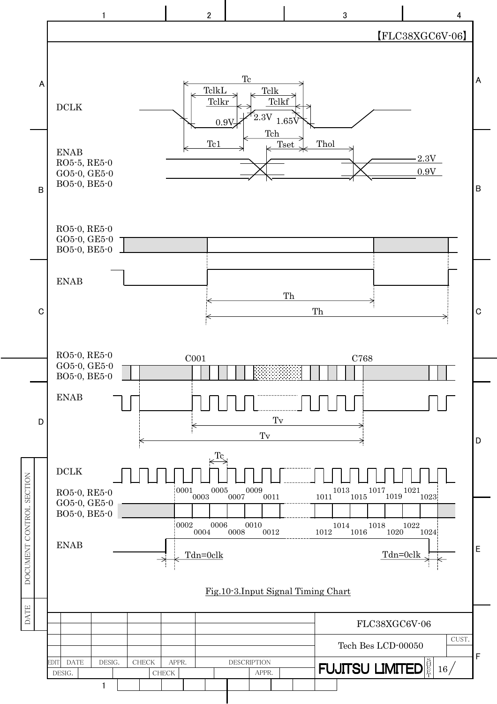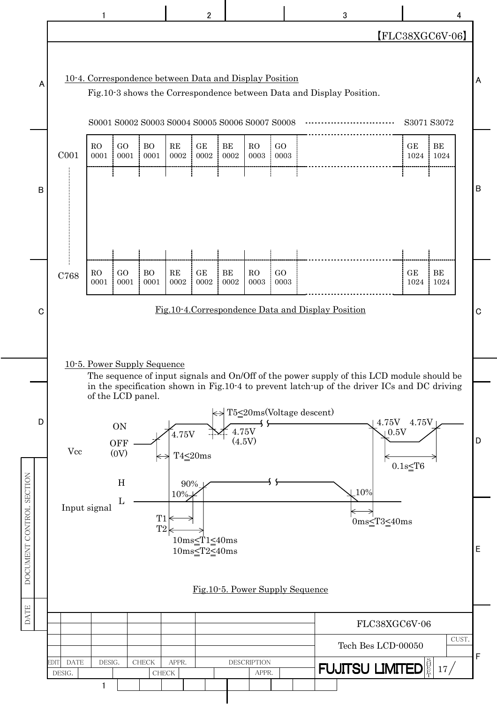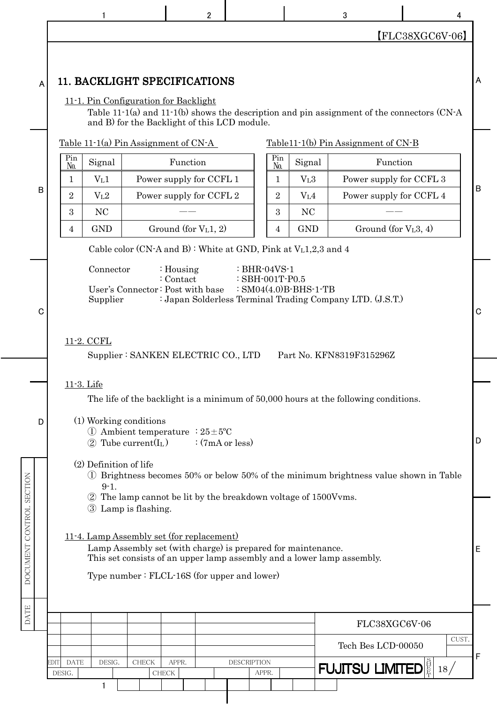|   |                            | 1                                    |                                                                                                  | 2                      |                                                                                                                                        |                  | 3                                                                                     |                                                                                               | 4           |
|---|----------------------------|--------------------------------------|--------------------------------------------------------------------------------------------------|------------------------|----------------------------------------------------------------------------------------------------------------------------------------|------------------|---------------------------------------------------------------------------------------|-----------------------------------------------------------------------------------------------|-------------|
|   |                            |                                      |                                                                                                  |                        |                                                                                                                                        |                  |                                                                                       | $[FLC38XGC6V-06]$                                                                             |             |
| A |                            |                                      | 11. BACKLIGHT SPECIFICATIONS<br>11-1. Pin Configuration for Backlight                            |                        |                                                                                                                                        |                  |                                                                                       |                                                                                               | A           |
|   |                            |                                      | and B) for the Backlight of this LCD module.                                                     |                        |                                                                                                                                        |                  |                                                                                       | Table 11-1(a) and 11-1(b) shows the description and pin assignment of the connectors $(CN-A)$ |             |
|   |                            |                                      | Table 11-1(a) Pin Assignment of $CN-A$                                                           |                        |                                                                                                                                        |                  | $Table 11-1(b) Pin Assignment of CN-B$                                                |                                                                                               |             |
|   | Pin<br>N <sub>0</sub>      | Signal                               |                                                                                                  | Function               | Pin<br>No.                                                                                                                             | Signal           |                                                                                       | Function                                                                                      |             |
| B | 1                          | V <sub>L</sub> 1                     | Power supply for CCFL 1                                                                          |                        | 1                                                                                                                                      | V <sub>L</sub> 3 |                                                                                       | Power supply for CCFL 3                                                                       | B           |
|   | $\overline{2}$             | V <sub>L</sub> 2                     | Power supply for CCFL 2                                                                          |                        | $\overline{2}$                                                                                                                         | V <sub>L</sub> 4 |                                                                                       | Power supply for CCFL 4                                                                       |             |
|   | 3                          | N <sub>C</sub>                       |                                                                                                  |                        | 3                                                                                                                                      | <b>NC</b>        |                                                                                       |                                                                                               |             |
|   | 4                          | <b>GND</b>                           |                                                                                                  | Ground (for $VL1$ , 2) | 4                                                                                                                                      | <b>GND</b>       |                                                                                       | Ground (for $VL3, 4$ )                                                                        |             |
|   |                            |                                      |                                                                                                  |                        | Cable color (CN-A and B): White at GND, Pink at VL1,2,3 and 4                                                                          |                  |                                                                                       |                                                                                               |             |
| C |                            | Connector<br>Supplier<br>11-2. CCFL  | : Housing<br>: Contact<br>User's Connector: Post with base<br>Supplier: SANKEN ELECTRIC CO., LTD |                        | $\therefore$ BHR-04VS-1<br>: SBH-001T-P0.5<br>: $SM04(4.0)B-BHS-1-TB$                                                                  |                  | : Japan Solderless Terminal Trading Company LTD. (J.S.T.)<br>Part No. KFN8319F315296Z |                                                                                               | $\mathbf C$ |
|   |                            |                                      |                                                                                                  |                        |                                                                                                                                        |                  |                                                                                       |                                                                                               |             |
| D |                            | 11-3. Life<br>(1) Working conditions | (1) Ambient temperature : $25 \pm 5^{\circ}$ C<br>$(2)$ Tube current(I <sub>L</sub> )            | :(7mA or less)         |                                                                                                                                        |                  | The life of the backlight is a minimum of 50,000 hours at the following conditions.   |                                                                                               | D           |
|   |                            | (2) Definition of life<br>$9 - 1.$   | 3 Lamp is flashing.                                                                              |                        | 2 The lamp cannot be lit by the breakdown voltage of 1500 Vvms.                                                                        |                  |                                                                                       | 1) Brightness becomes 50% or below 50% of the minimum brightness value shown in Table         |             |
|   |                            |                                      | 11-4. Lamp Assembly set (for replacement)<br>Type number: FLCL-16S (for upper and lower)         |                        | Lamp Assembly set (with charge) is prepared for maintenance.<br>This set consists of an upper lamp assembly and a lower lamp assembly. |                  |                                                                                       |                                                                                               | Ε           |
|   |                            |                                      |                                                                                                  |                        |                                                                                                                                        |                  |                                                                                       | FLC38XGC6V-06                                                                                 |             |
|   |                            |                                      |                                                                                                  |                        |                                                                                                                                        |                  | Tech Bes LCD-00050                                                                    |                                                                                               | CUST.       |
|   |                            |                                      |                                                                                                  |                        |                                                                                                                                        |                  |                                                                                       |                                                                                               |             |
|   | <b>EDIT</b><br><b>DATE</b> | DESIG.                               | <b>CHECK</b><br>APPR.                                                                            |                        | <b>DESCRIPTION</b>                                                                                                                     |                  | <b>FUJITSU LIMITED</b>                                                                | 18/                                                                                           | F           |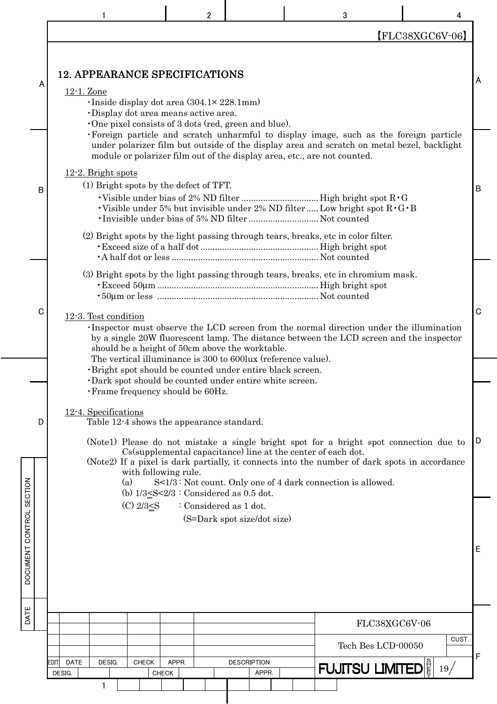|                          |                                                    |                                                                                  |                       | $\overline{2}$ |                                                                                                                                                                                       | 3                                                                                                                                                                                                                                                                                                                                                                                                                                                                                                                                    |                   | 4     |   |
|--------------------------|----------------------------------------------------|----------------------------------------------------------------------------------|-----------------------|----------------|---------------------------------------------------------------------------------------------------------------------------------------------------------------------------------------|--------------------------------------------------------------------------------------------------------------------------------------------------------------------------------------------------------------------------------------------------------------------------------------------------------------------------------------------------------------------------------------------------------------------------------------------------------------------------------------------------------------------------------------|-------------------|-------|---|
|                          |                                                    |                                                                                  |                       |                |                                                                                                                                                                                       |                                                                                                                                                                                                                                                                                                                                                                                                                                                                                                                                      | $[FLC38XGC6V-06]$ |       |   |
| Α                        | <b>12. APPEARANCE SPECIFICATIONS</b><br>12-1. Zone | ·Inside display dot area (304.1×228.1mm)<br>·Display dot area means active area. |                       |                | One pixel consists of 3 dots (red, green and blue).                                                                                                                                   |                                                                                                                                                                                                                                                                                                                                                                                                                                                                                                                                      |                   |       | A |
| B                        | $12-2$ . Bright spots                              | (1) Bright spots by the defect of TFT.                                           |                       |                |                                                                                                                                                                                       | • Foreign particle and scratch unharmful to display image, such as the foreign particle<br>under polarizer film but outside of the display area and scratch on metal bezel, backlight<br>module or polarizer film out of the display area, etc., are not counted.<br>. Visible under 5% but invisible under 2% ND filter  Low bright spot $\mathbb{R} \cdot \mathbb{G} \cdot \mathbb{B}$<br>. Invisible under bias of 5% ND filter  Not counted<br>(2) Bright spots by the light passing through tears, breaks, etc in color filter. |                   |       | B |
| $\mathbf C$              | 12-3. Test condition                               |                                                                                  |                       |                | should be a height of 50cm above the worktable.                                                                                                                                       | (3) Bright spots by the light passing through tears, breaks, etc in chromium mask.<br>. Inspector must observe the LCD screen from the normal direction under the illumination<br>by a single 20W fluorescent lamp. The distance between the LCD screen and the inspector                                                                                                                                                                                                                                                            |                   |       | C |
| D                        | 12-4. Specifications                               | · Frame frequency should be 60Hz.<br>Table 12-4 shows the appearance standard.   |                       |                | The vertical illuminance is 300 to 600 lux (reference value).<br>· Bright spot should be counted under entire black screen.<br>Dark spot should be counted under entire white screen. |                                                                                                                                                                                                                                                                                                                                                                                                                                                                                                                                      |                   |       |   |
|                          |                                                    | (a)                                                                              | with following rule.  |                | (b) $1/3 \leq S \leq 2/3$ : Considered as 0.5 dot.                                                                                                                                    | (Notel) Please do not mistake a single bright spot for a bright spot connection due to<br>$Cs$ (supplemental capacitance) line at the center of each dot.<br>(Note2) If a pixel is dark partially, it connects into the number of dark spots in accordance<br>S<1/3: Not count. Only one of 4 dark connection is allowed.                                                                                                                                                                                                            |                   |       | D |
| DOCUMENT CONTROL SECTION |                                                    | (C) $2/3 \leq S$                                                                 |                       |                | : Considered as 1 dot.<br>(S=Dark spot size/dot size)                                                                                                                                 |                                                                                                                                                                                                                                                                                                                                                                                                                                                                                                                                      |                   |       | Ε |
| DATE                     |                                                    |                                                                                  |                       |                |                                                                                                                                                                                       |                                                                                                                                                                                                                                                                                                                                                                                                                                                                                                                                      |                   |       |   |
|                          |                                                    |                                                                                  |                       |                |                                                                                                                                                                                       |                                                                                                                                                                                                                                                                                                                                                                                                                                                                                                                                      | FLC38XGC6V-06     | CUST. |   |
|                          | <b>DATE</b><br>DESIG.<br>EDITI<br>DESIG.           | <b>CHECK</b>                                                                     | APPR.<br><b>CHECK</b> |                | <b>DESCRIPTION</b><br>APPR.                                                                                                                                                           | Tech Bes LCD-00050<br><b>FUJITSU LIMITED</b>                                                                                                                                                                                                                                                                                                                                                                                                                                                                                         |                   | 19/   | F |
|                          | 1                                                  |                                                                                  |                       |                |                                                                                                                                                                                       |                                                                                                                                                                                                                                                                                                                                                                                                                                                                                                                                      |                   |       |   |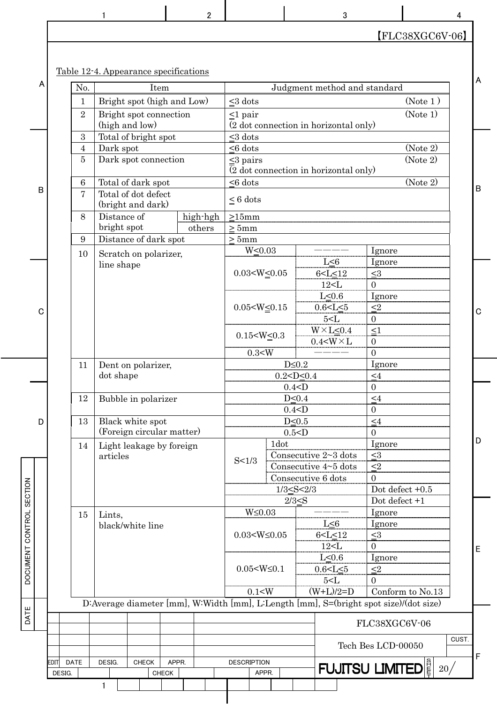|   |                |                                                                                       | $\overline{c}$ |                           |      | 3                                          |                                   | 4 |   |
|---|----------------|---------------------------------------------------------------------------------------|----------------|---------------------------|------|--------------------------------------------|-----------------------------------|---|---|
|   |                |                                                                                       |                |                           |      |                                            | $[FLC38XGC6V-06]$                 |   |   |
|   |                |                                                                                       |                |                           |      |                                            |                                   |   |   |
|   |                | Table 12-4. Appearance specifications                                                 |                |                           |      |                                            |                                   |   |   |
| A | No.            | Item                                                                                  |                |                           |      | Judgment method and standard               |                                   |   | A |
|   | $\mathbf{1}$   | Bright spot (high and Low)                                                            |                | $\leq$ 3 dots             |      |                                            | (Note 1)                          |   |   |
|   | $\overline{2}$ | Bright spot connection                                                                |                | $\leq1$ pair              |      |                                            | (Note 1)                          |   |   |
|   |                | (high and low)                                                                        |                |                           |      | (2 dot connection in horizontal only)      |                                   |   |   |
|   | 3              | Total of bright spot                                                                  |                | $<$ 3 dots                |      |                                            |                                   |   |   |
|   | 4              | Dark spot                                                                             |                | $< 6$ dots                |      |                                            | (Note 2)                          |   |   |
|   | 5              | Dark spot connection                                                                  |                | $\leq$ 3 pairs            |      |                                            | (Note 2)                          |   |   |
|   |                |                                                                                       |                |                           |      | (2 dot connection in horizontal only)      |                                   |   |   |
|   | 6              | Total of dark spot                                                                    |                | $< 6$ dots                |      |                                            | (Note 2)                          |   |   |
| В | $\overline{7}$ | Total of dot defect                                                                   |                |                           |      |                                            |                                   |   | B |
|   |                | (bright and dark)                                                                     |                | $\leq 6$ dots             |      |                                            |                                   |   |   |
|   | 8              | Distance of                                                                           | high-hgh       | $\geq 15$ mm              |      |                                            |                                   |   |   |
|   |                | bright spot                                                                           | others         | $>5$ mm                   |      |                                            |                                   |   |   |
|   | 9              | Distance of dark spot                                                                 |                | >5mm                      |      |                                            |                                   |   |   |
|   | 10             | Scratch on polarizer,                                                                 |                | $W \leq 0.03$             |      |                                            | Ignore                            |   |   |
|   |                | line shape                                                                            |                |                           |      | $L \leq 6$                                 | Ignore                            |   |   |
|   |                |                                                                                       |                | $0.03< W \leq 0.05$       |      | 6 < L < 12                                 | $\leq 3$                          |   |   |
|   |                |                                                                                       |                |                           |      | 12< L                                      | $\overline{0}$                    |   |   |
|   |                |                                                                                       |                |                           |      | $L \leq 0.6$                               | Ignore                            |   |   |
| C |                |                                                                                       |                | $0.05< W \leq 0.15$       |      | $0.6 < L \leq 5$                           | $\leq2$                           |   | C |
|   |                |                                                                                       |                |                           |      | 5< L                                       | $\overline{0}$                    |   |   |
|   |                |                                                                                       |                | $0.15< W \leq 0.3$        |      | $W \times L \leq 0.4$                      | <1                                |   |   |
|   |                |                                                                                       |                |                           |      | $0.4<\!\!W\!\times\!L$                     | $\boldsymbol{0}$                  |   |   |
|   |                |                                                                                       |                | 0.3< W                    |      |                                            | $\overline{0}$                    |   |   |
|   | 11             | Dent on polarizer,                                                                    |                |                           |      | $D \leq 0.2$                               | Ignore                            |   |   |
|   |                | dot shape                                                                             |                |                           |      | $0.2 < D \le 0.4$                          | $\leq 4$                          |   |   |
|   |                |                                                                                       |                |                           |      | 0.4 < D                                    | $\boldsymbol{0}$                  |   |   |
|   | 12             | Bubble in polarizer                                                                   |                |                           |      | $D \leq 0.4$                               | $\leq 4$                          |   |   |
|   |                |                                                                                       |                |                           |      | $0.4<$ D                                   | $\boldsymbol{0}$                  |   |   |
| D | 13             | Black white spot                                                                      |                |                           |      | $D \leq 0.5$                               | $\leq 4$                          |   |   |
|   |                | (Foreign circular matter)                                                             |                |                           |      | 0.5 < D                                    | $\overline{0}$                    |   | D |
|   | 14             | Light leakage by foreign                                                              |                |                           | 1dot |                                            | Ignore                            |   |   |
|   |                | articles                                                                              |                | S < 1/3                   |      | Consecutive 2~3 dots                       | $\leq 3$                          |   |   |
|   |                |                                                                                       |                |                           |      | Consecutive 4~5 dots<br>Consecutive 6 dots | $\leq$ 2                          |   |   |
|   |                |                                                                                       |                |                           |      | $1/3 \leq S < 2/3$                         | $\mathbf{0}$<br>Dot defect $+0.5$ |   |   |
|   |                |                                                                                       |                |                           |      |                                            | Dot defect +1                     |   |   |
|   |                |                                                                                       |                | $W \leq 0.03$             |      | $2/3 \leq S$                               | Ignore                            |   |   |
|   | 15             | Lints,                                                                                |                |                           |      | L < 6                                      | Ignore                            |   |   |
|   |                | black/white line                                                                      |                | $0.03< W \leq 0.05$       |      | 6 < L < 12                                 | $<$ 3                             |   |   |
|   |                |                                                                                       |                |                           |      | 12< L                                      | 0                                 |   |   |
|   |                |                                                                                       |                |                           |      | L<0.6                                      | Ignore                            |   | E |
|   |                |                                                                                       |                | $0.05<\!\!W\!\leq\!\!0.1$ |      | $0.6 < L \leq 5$                           | $\leq$ 2                          |   |   |
|   |                |                                                                                       |                |                           |      | $5<$ L                                     | $\overline{0}$                    |   |   |
|   |                |                                                                                       |                | 0.1 < W                   |      | $(W+L)/2=D$                                | Conform to No.13                  |   |   |
|   |                | D:Average diameter [mm], W:Width [mm], L:Length [mm], S=(bright spot size)/(dot size) |                |                           |      |                                            |                                   |   |   |
|   |                |                                                                                       |                |                           |      |                                            |                                   |   |   |
|   |                |                                                                                       |                |                           |      |                                            | FLC38XGC6V-06                     |   |   |

|      |             |        |  |              |              |  |  |                    |  |  | FLC38XGC6V-06                            |  |
|------|-------------|--------|--|--------------|--------------|--|--|--------------------|--|--|------------------------------------------|--|
|      |             |        |  |              |              |  |  |                    |  |  | CUST<br>Tech Bes LCD-00050               |  |
| EDIT | <b>DATE</b> | DESIG. |  | <b>CHECK</b> | APPR.        |  |  | <b>DESCRIPTION</b> |  |  | $ $ FUJITSU LIMITED $ _2^{\frac{8}{5}} $ |  |
|      | DESIG.      |        |  |              | <b>CHECK</b> |  |  | APPR.              |  |  | 20                                       |  |
|      |             |        |  |              |              |  |  |                    |  |  |                                          |  |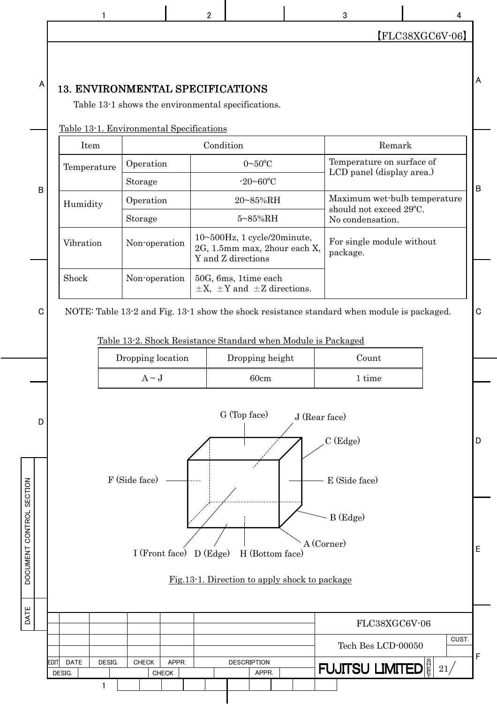【FLC38XGC6V-06】

## 13. ENVIRONMENTAL SPECIFICATIONS

EDIT DATE DESIG. CHECK APPR. DESCRIPTION

DESIG. CHECK CHECK APPR.

 $\mathbf{1}$ 

DATE DOCUMENT CONTROL SECTION

DATE

DOCUMENT CONTROL SECTION

A

Table 13-1 shows the environmental specifications.

| Table 13-1. Environmental Specifications |  |
|------------------------------------------|--|
|                                          |  |

|             |             | <u> Table 13-1. Environmental Specifications</u> |                                                                                   |                                                                                            |              |
|-------------|-------------|--------------------------------------------------|-----------------------------------------------------------------------------------|--------------------------------------------------------------------------------------------|--------------|
|             | Item        |                                                  | Condition                                                                         | Remark                                                                                     |              |
|             | Temperature | Operation                                        | $0 - 50$ °C                                                                       | Temperature on surface of                                                                  |              |
| B           |             | Storage                                          | $-20 - 60$ °C                                                                     | LCD panel (display area.)                                                                  | $\, {\bf B}$ |
|             | Humidity    | Operation                                        | 20~85%RH                                                                          | Maximum wet-bulb temperature                                                               |              |
|             |             | Storage                                          | 5~85%RH                                                                           | should not exceed 29°C.<br>No condensation.                                                |              |
|             | Vibration   | Non-operation                                    | 10~500Hz, 1 cycle/20minute,<br>2G, 1.5mm max, 2hour each X,<br>Y and Z directions | For single module without<br>package.                                                      |              |
|             | Shock       | Non-operation                                    | 50G, 6ms, 1time each<br>$\pm X$ , $\pm Y$ and $\pm Z$ directions.                 |                                                                                            |              |
| $\mathbf C$ |             |                                                  | Table 13-2. Shock Resistance Standard when Module is Packaged                     | NOTE: Table 13-2 and Fig. 13-1 show the shock resistance standard when module is packaged. | $\mathbf C$  |
|             |             | Dropping location                                | Dropping height                                                                   | Count                                                                                      |              |
|             |             | $A \sim J$                                       | 60cm                                                                              | 1 time                                                                                     |              |
| D           |             | F (Side face)                                    | G (Top face)                                                                      | J (Rear face)<br>$C$ (Edge)<br>E (Side face)                                               | D            |
|             |             | I (Front face) D (Edge)                          | H (Bottom face)<br>Fig. 13-1. Direction to apply shock to package                 | B (Edge)<br>A (Corner)                                                                     | E            |
|             |             |                                                  |                                                                                   | FLC38XGC6V-06                                                                              |              |
|             |             |                                                  |                                                                                   | CUST.<br>Tech Bes LCD-00050                                                                |              |
|             |             |                                                  |                                                                                   |                                                                                            |              |

 $\begin{array}{ccccccccccccccccc}\n1 & 1 & 1 & 2 & 2 & 3 & 3 & 4\n\end{array}$ 

A

21

F

 $\tt FUJITSU LIMITED \Big|_F^{\frac{8}{5}}\Big|\, {\rm 21}/\, \Big|$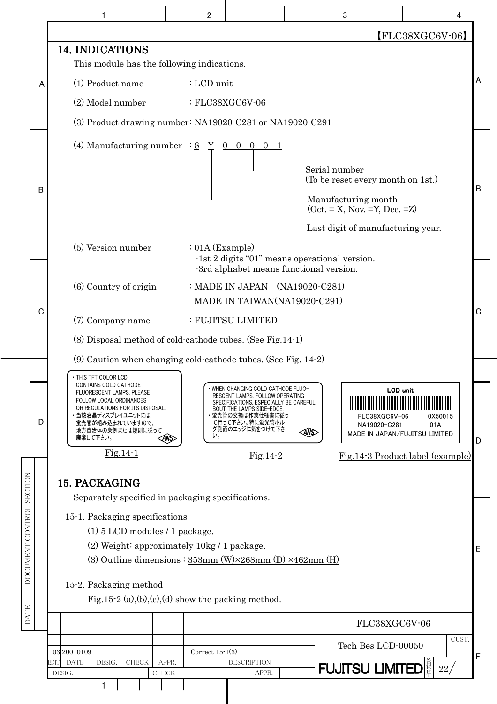|                          |                                                                                                                                                                                                                                    | $\mathbf{2}$                                                                                                                                                                                             | 3                                                     | 4                                                                  |
|--------------------------|------------------------------------------------------------------------------------------------------------------------------------------------------------------------------------------------------------------------------------|----------------------------------------------------------------------------------------------------------------------------------------------------------------------------------------------------------|-------------------------------------------------------|--------------------------------------------------------------------|
|                          |                                                                                                                                                                                                                                    |                                                                                                                                                                                                          |                                                       | $[FLC38XGC6V-06]$                                                  |
|                          | 14. INDICATIONS<br>This module has the following indications.                                                                                                                                                                      |                                                                                                                                                                                                          |                                                       |                                                                    |
| A                        | (1) Product name                                                                                                                                                                                                                   | : LCD unit                                                                                                                                                                                               |                                                       |                                                                    |
|                          | (2) Model number                                                                                                                                                                                                                   | $: FLC38XGC6V-06$                                                                                                                                                                                        |                                                       |                                                                    |
|                          |                                                                                                                                                                                                                                    | $(3)$ Product drawing number: NA19020 C281 or NA19020 C291                                                                                                                                               |                                                       |                                                                    |
|                          | (4) Manufacturing number : $8$                                                                                                                                                                                                     | Y<br>$0\quad 0\quad 0$                                                                                                                                                                                   | Serial number<br>(To be reset every month on 1st.)    |                                                                    |
| В                        |                                                                                                                                                                                                                                    |                                                                                                                                                                                                          | Manufacturing month<br>$(Oct. = X, Nov. =Y, Dec. =Z)$ |                                                                    |
|                          |                                                                                                                                                                                                                                    |                                                                                                                                                                                                          | Last digit of manufacturing year.                     |                                                                    |
|                          | (5) Version number                                                                                                                                                                                                                 | $: 01A$ (Example)                                                                                                                                                                                        |                                                       |                                                                    |
|                          |                                                                                                                                                                                                                                    | -1st 2 digits "01" means operational version.<br>-3rd alphabet means functional version.                                                                                                                 |                                                       |                                                                    |
|                          | (6) Country of origin                                                                                                                                                                                                              | : MADE IN JAPAN (NA19020-C281)<br>MADE IN TAIWAN(NA19020-C291)                                                                                                                                           |                                                       |                                                                    |
| C                        | (7) Company name                                                                                                                                                                                                                   | : FUJITSU LIMITED                                                                                                                                                                                        |                                                       |                                                                    |
|                          |                                                                                                                                                                                                                                    | (8) Disposal method of cold-cathode tubes. (See Fig. 14-1)                                                                                                                                               |                                                       |                                                                    |
|                          |                                                                                                                                                                                                                                    | $(9)$ Caution when changing cold-cathode tubes. (See Fig. 14-2)                                                                                                                                          |                                                       |                                                                    |
|                          |                                                                                                                                                                                                                                    |                                                                                                                                                                                                          |                                                       |                                                                    |
| D                        | • THIS TFT COLOR LCD<br>CONTAINS COLD CATHODE<br>FLUORESCENT LAMPS. PLEASE<br><b>FOLLOW LOCAL ORDINANCES</b><br>OR REGULATIONS FOR ITS DISPOSAL.<br>・当該液晶ディスプレイユニットには<br>蛍光管が組み込まれていますので、<br>地方自治体の条例または規則に従って<br>廃棄して下さい。<br>ANS> | WHEN CHANGING COLD CATHODE FLUO-<br>RESCENT LAMPS, FOLLOW OPERATING<br>SPECIFICATIONS. ESPECIALLY BE CAREFUL<br>BOUT THE LAMPS SIDE-EDGE.<br>蛍光管の交換は作業仕様書に従っ<br>て行って下さい。特に蛍光管ホル<br>ダ側面のエッジに気をつけて下さ<br>い。 | FLC38XGC6V-06<br>NA19020-C281<br>ANS                  | <b>LCD</b> unit<br>0X50015<br>01A<br>MADE IN JAPAN/FUJITSU LIMITED |
|                          | $Fig.14-1$                                                                                                                                                                                                                         | $Fig.14-2$                                                                                                                                                                                               |                                                       | Fig.14-3 Product label (example)                                   |
|                          |                                                                                                                                                                                                                                    |                                                                                                                                                                                                          |                                                       |                                                                    |
|                          | 15. PACKAGING<br>Separately specified in packaging specifications.                                                                                                                                                                 |                                                                                                                                                                                                          |                                                       |                                                                    |
|                          | 15-1. Packaging specifications                                                                                                                                                                                                     |                                                                                                                                                                                                          |                                                       |                                                                    |
| DOCUMENT CONTROL SECTION | (1) 5 LCD modules / 1 package.                                                                                                                                                                                                     |                                                                                                                                                                                                          |                                                       |                                                                    |
|                          |                                                                                                                                                                                                                                    | (2) Weight: approximately $10\text{kg}/1$ package.                                                                                                                                                       |                                                       |                                                                    |
|                          |                                                                                                                                                                                                                                    | (3) Outline dimensions : $353mm$ (W) $\times 268mm$ (D) $\times 462mm$ (H)                                                                                                                               |                                                       |                                                                    |
|                          | 15-2. Packaging method                                                                                                                                                                                                             |                                                                                                                                                                                                          |                                                       |                                                                    |
| <b>DATE</b>              |                                                                                                                                                                                                                                    | Fig.15-2 (a),(b),(c),(d) show the packing method.                                                                                                                                                        |                                                       |                                                                    |
|                          |                                                                                                                                                                                                                                    |                                                                                                                                                                                                          |                                                       | FLC38XGC6V-06                                                      |
|                          |                                                                                                                                                                                                                                    |                                                                                                                                                                                                          |                                                       | CUST.                                                              |
|                          | 03 20010109                                                                                                                                                                                                                        | Correct $15-1(3)$                                                                                                                                                                                        | Tech Bes LCD-00050                                    |                                                                    |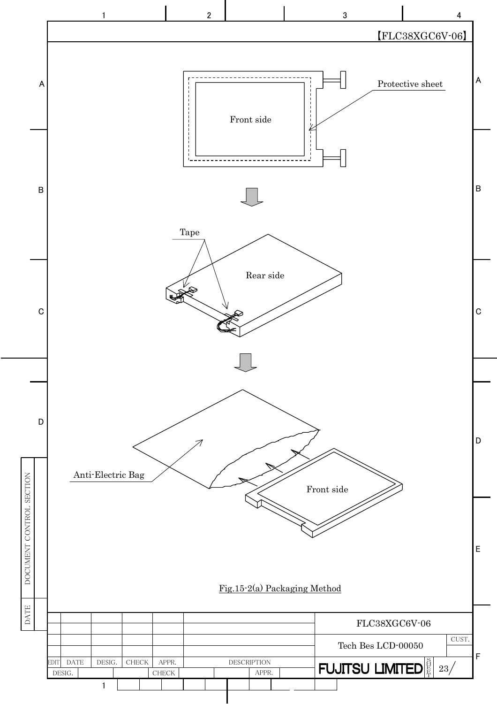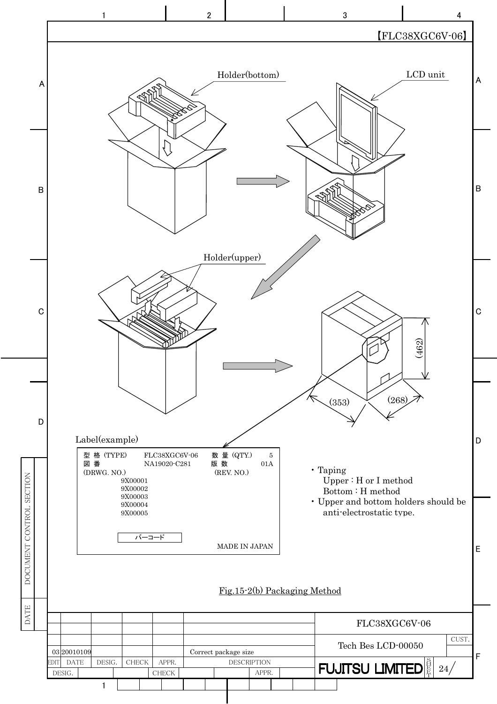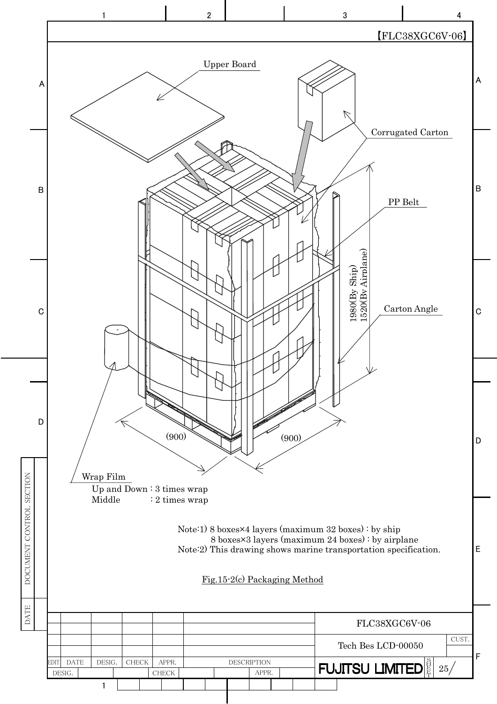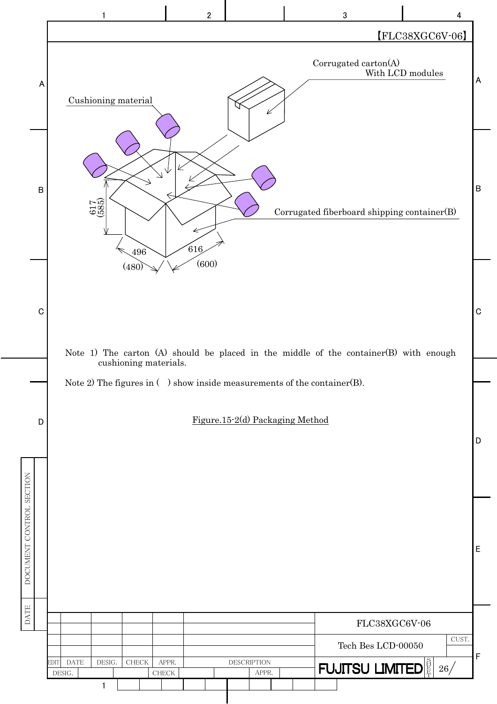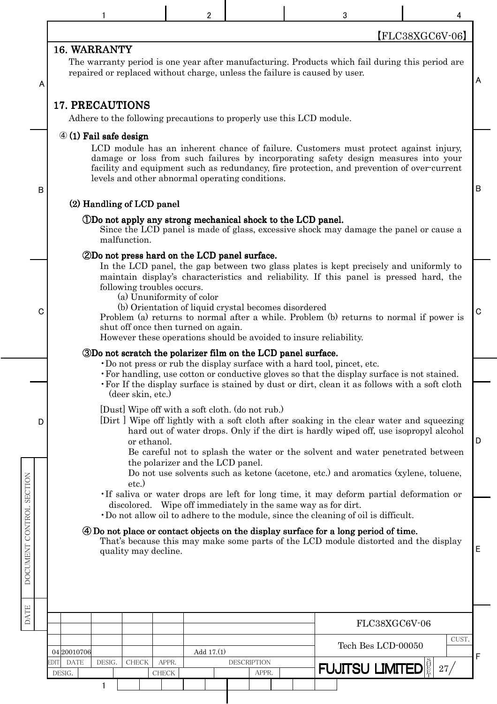|                          |   |                               |        |                             |                       | 2                                                                                                                        |                             | 3                                                                                                                                                                                                                                                                                                                                 | 4                 |   |
|--------------------------|---|-------------------------------|--------|-----------------------------|-----------------------|--------------------------------------------------------------------------------------------------------------------------|-----------------------------|-----------------------------------------------------------------------------------------------------------------------------------------------------------------------------------------------------------------------------------------------------------------------------------------------------------------------------------|-------------------|---|
|                          |   |                               |        |                             |                       |                                                                                                                          |                             |                                                                                                                                                                                                                                                                                                                                   | $[FLC38XGC6V-06]$ |   |
|                          | A | 16. WARRANTY                  |        |                             |                       |                                                                                                                          |                             | The warranty period is one year after manufacturing. Products which fail during this period are<br>repaired or replaced without charge, unless the failure is caused by user.                                                                                                                                                     |                   | A |
|                          |   | 17. PRECAUTIONS               |        |                             |                       | Adhere to the following precautions to properly use this LCD module.                                                     |                             |                                                                                                                                                                                                                                                                                                                                   |                   |   |
|                          | B |                               |        | $\Phi$ (1) Fail safe design |                       | levels and other abnormal operating conditions.                                                                          |                             | LCD module has an inherent chance of failure. Customers must protect against injury,<br>damage or loss from such failures by incorporating safety design measures into your<br>facility and equipment such as redundancy, fire protection, and prevention of over-current                                                         |                   | B |
|                          |   |                               |        | (2) Handling of LCD panel   |                       |                                                                                                                          |                             |                                                                                                                                                                                                                                                                                                                                   |                   |   |
|                          |   |                               |        | malfunction.                |                       | (DD <sub>o</sub> not apply any strong mechanical shock to the LCD panel.)                                                |                             | Since the LCD panel is made of glass, excessive shock may damage the panel or cause a                                                                                                                                                                                                                                             |                   |   |
|                          |   |                               |        |                             |                       | 2Do not press hard on the LCD panel surface.                                                                             |                             | In the LCD panel, the gap between two glass plates is kept precisely and uniformly to                                                                                                                                                                                                                                             |                   |   |
|                          | C |                               |        | following troubles occurs.  |                       | (a) Ununiformity of color<br>(b) Orientation of liquid crystal becomes disordered<br>shut off once then turned on again. |                             | maintain display's characteristics and reliability. If this panel is pressed hard, the<br>Problem (a) returns to normal after a while. Problem (b) returns to normal if power is<br>However these operations should be avoided to insure reliability.                                                                             |                   | C |
|                          |   |                               |        |                             |                       | 3Do not scratch the polarizer film on the LCD panel surface.                                                             |                             | Do not press or rub the display surface with a hard tool, pincet, etc.                                                                                                                                                                                                                                                            |                   |   |
|                          |   |                               |        | (deer skin, etc.)           |                       |                                                                                                                          |                             | • For handling, use cotton or conductive gloves so that the display surface is not stained.<br>• For If the display surface is stained by dust or dirt, clean it as follows with a soft cloth                                                                                                                                     |                   |   |
|                          | D |                               |        | or ethanol.                 |                       | [Dust] Wipe off with a soft cloth. (do not rub.)<br>the polarizer and the LCD panel.                                     |                             | [Dirt] Wipe off lightly with a soft cloth after soaking in the clear water and squeezing<br>hard out of water drops. Only if the dirt is hardly wiped off, use isopropyl alcohol<br>Be careful not to splash the water or the solvent and water penetrated between                                                                |                   | D |
|                          |   |                               |        | etc.                        |                       |                                                                                                                          |                             | Do not use solvents such as ketone (acetone, etc.) and aromatics (xylene, toluene,<br>If saliva or water drops are left for long time, it may deform partial deformation or<br>discolored. Wipe off immediately in the same way as for dirt.<br>Do not allow oil to adhere to the module, since the cleaning of oil is difficult. |                   |   |
| DOCUMENT CONTROL SECTION |   |                               |        | quality may decline.        |                       |                                                                                                                          |                             | 4) Do not place or contact objects on the display surface for a long period of time.<br>That's because this may make some parts of the LCD module distorted and the display                                                                                                                                                       |                   | Ε |
|                          |   |                               |        |                             |                       |                                                                                                                          |                             |                                                                                                                                                                                                                                                                                                                                   |                   |   |
| <b>DATE</b>              |   |                               |        |                             |                       |                                                                                                                          |                             | FLC38XGC6V-06                                                                                                                                                                                                                                                                                                                     |                   |   |
|                          |   | 04 20010706                   |        |                             |                       | Add 17.(1)                                                                                                               |                             | Tech Bes LCD-00050                                                                                                                                                                                                                                                                                                                | CUST.             | F |
|                          |   | <b>DATE</b><br>EDIT<br>DESIG. | DESIG. | <b>CHECK</b>                | APPR.<br><b>CHECK</b> |                                                                                                                          | <b>DESCRIPTION</b><br>APPR. | <b>FUJITSU LIMITED</b>                                                                                                                                                                                                                                                                                                            | 27/               |   |
|                          |   |                               | 1      |                             |                       |                                                                                                                          |                             |                                                                                                                                                                                                                                                                                                                                   |                   |   |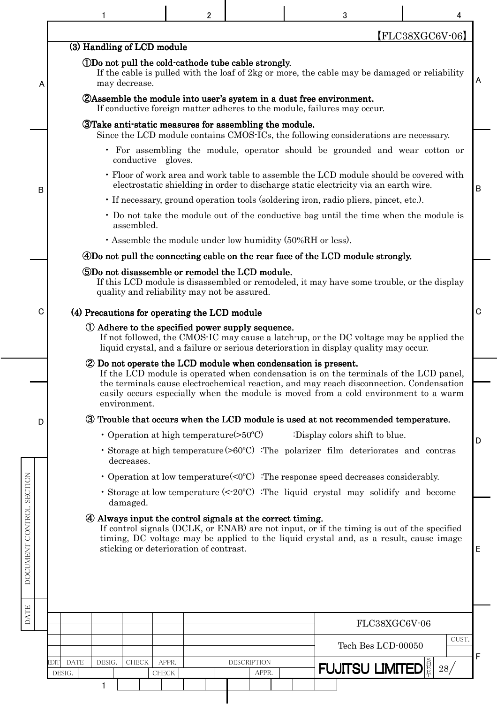|                          |             |                     |                            |                    | 2                                                |                                                                                               | 3                                                                                                                                                     | 4                                                                                                                                                                                                                                                                       |   |
|--------------------------|-------------|---------------------|----------------------------|--------------------|--------------------------------------------------|-----------------------------------------------------------------------------------------------|-------------------------------------------------------------------------------------------------------------------------------------------------------|-------------------------------------------------------------------------------------------------------------------------------------------------------------------------------------------------------------------------------------------------------------------------|---|
|                          |             |                     |                            |                    |                                                  |                                                                                               |                                                                                                                                                       | FLC38XGC6V-06                                                                                                                                                                                                                                                           |   |
|                          |             |                     | (3) Handling of LCD module |                    |                                                  |                                                                                               |                                                                                                                                                       |                                                                                                                                                                                                                                                                         |   |
|                          | A           |                     | may decrease.              |                    |                                                  | (DDo not pull the cold-cathode tube cable strongly.                                           |                                                                                                                                                       | If the cable is pulled with the loaf of 2kg or more, the cable may be damaged or reliability                                                                                                                                                                            | A |
|                          |             |                     |                            |                    |                                                  |                                                                                               | <b>ZAssemble the module into user's system in a dust free environment.</b><br>If conductive foreign matter adheres to the module, failures may occur. |                                                                                                                                                                                                                                                                         |   |
|                          |             |                     |                            |                    |                                                  | <b>Take anti-static measures for assembling the module.</b>                                   | Since the LCD module contains CMOS-ICs, the following considerations are necessary.                                                                   |                                                                                                                                                                                                                                                                         |   |
|                          |             |                     |                            | conductive gloves. |                                                  |                                                                                               |                                                                                                                                                       | • For assembling the module, operator should be grounded and wear cotton or                                                                                                                                                                                             |   |
|                          | B           |                     |                            |                    |                                                  |                                                                                               | electrostatic shielding in order to discharge static electricity via an earth wire.                                                                   | • Floor of work area and work table to assemble the LCD module should be covered with                                                                                                                                                                                   | B |
|                          |             |                     |                            |                    |                                                  |                                                                                               | • If necessary, ground operation tools (soldering iron, radio pliers, pincet, etc.).                                                                  |                                                                                                                                                                                                                                                                         |   |
|                          |             |                     | assembled.                 |                    |                                                  |                                                                                               |                                                                                                                                                       | • Do not take the module out of the conductive bag until the time when the module is                                                                                                                                                                                    |   |
|                          |             |                     |                            |                    |                                                  | · Assemble the module under low humidity (50%RH or less).                                     |                                                                                                                                                       |                                                                                                                                                                                                                                                                         |   |
|                          |             |                     |                            |                    |                                                  |                                                                                               | 4Do not pull the connecting cable on the rear face of the LCD module strongly.                                                                        |                                                                                                                                                                                                                                                                         |   |
|                          |             |                     |                            |                    |                                                  | 5Do not disassemble or remodel the LCD module.<br>quality and reliability may not be assured. |                                                                                                                                                       | If this LCD module is disassembled or remodeled, it may have some trouble, or the display                                                                                                                                                                               |   |
|                          | $\mathbf C$ |                     |                            |                    | (4) Precautions for operating the LCD module     |                                                                                               |                                                                                                                                                       |                                                                                                                                                                                                                                                                         | C |
|                          |             |                     |                            |                    |                                                  | 10 Adhere to the specified power supply sequence.                                             | liquid crystal, and a failure or serious deterioration in display quality may occur.                                                                  | If not followed, the CMOS-IC may cause a latch-up, or the DC voltage may be applied the                                                                                                                                                                                 |   |
|                          |             |                     | environment.               |                    |                                                  | 2 Do not operate the LCD module when condensation is present.                                 |                                                                                                                                                       | If the LCD module is operated when condensation is on the terminals of the LCD panel.<br>the terminals cause electrochemical reaction, and may reach disconnection. Condensation<br>easily occurs especially when the module is moved from a cold environment to a warm |   |
|                          | D           |                     |                            |                    |                                                  |                                                                                               | 3 Trouble that occurs when the LCD module is used at not recommended temperature.                                                                     |                                                                                                                                                                                                                                                                         |   |
|                          |             |                     |                            |                    | • Operation at high temperature $(>50^{\circ}C)$ |                                                                                               | :Display colors shift to blue.                                                                                                                        |                                                                                                                                                                                                                                                                         |   |
|                          |             |                     | decreases.                 |                    |                                                  |                                                                                               | • Storage at high temperature $(>60^{\circ}C)$ The polarizer film deteriorates and contras                                                            |                                                                                                                                                                                                                                                                         | D |
|                          |             |                     |                            |                    |                                                  |                                                                                               | • Operation at low temperature $(0^{\circ}C)$ The response speed decreases considerably.                                                              |                                                                                                                                                                                                                                                                         |   |
|                          |             |                     | damaged.                   |                    |                                                  |                                                                                               | • Storage at low temperature $\left($ < 20 $\degree$ C) : The liquid crystal may solidify and become                                                  |                                                                                                                                                                                                                                                                         |   |
| DOCUMENT CONTROL SECTION |             |                     |                            |                    | sticking or deterioration of contrast.           | 4 Always input the control signals at the correct timing.                                     |                                                                                                                                                       | If control signals (DCLK, or ENAB) are not input, or if the timing is out of the specified<br>timing, DC voltage may be applied to the liquid crystal and, as a result, cause image                                                                                     | E |
| <b>DATE</b>              |             |                     |                            |                    |                                                  |                                                                                               |                                                                                                                                                       |                                                                                                                                                                                                                                                                         |   |
|                          |             |                     |                            |                    |                                                  |                                                                                               |                                                                                                                                                       | FLC38XGC6V-06<br>CUST.                                                                                                                                                                                                                                                  |   |
|                          |             | <b>DATE</b><br>EDIT | DESIG.<br><b>CHECK</b>     | APPR.              |                                                  | <b>DESCRIPTION</b>                                                                            | Tech Bes LCD-00050                                                                                                                                    |                                                                                                                                                                                                                                                                         | F |
|                          |             | DESIG.              |                            | CHECK              |                                                  | APPR.                                                                                         | <b>FUJITSU LIMITED</b>                                                                                                                                | 28/                                                                                                                                                                                                                                                                     |   |
|                          |             |                     |                            |                    |                                                  |                                                                                               |                                                                                                                                                       |                                                                                                                                                                                                                                                                         |   |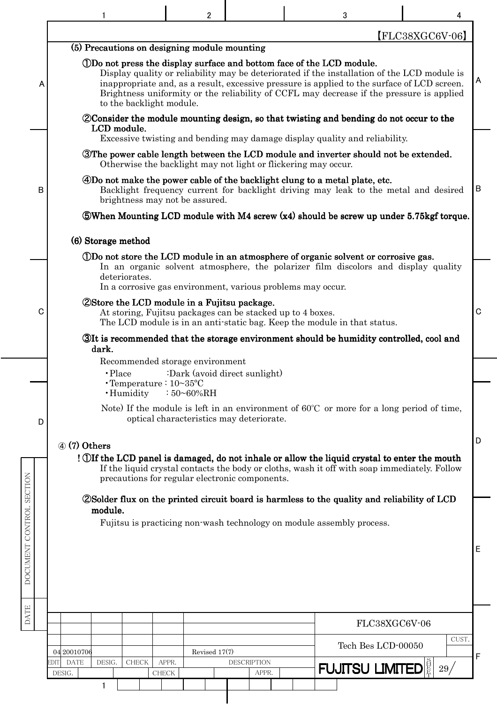|                          |                                                                                                                                                                                 | 2                                        |                             | 3                                                                                                                                                                                                                                                                                                                                                              | 4                 |    |
|--------------------------|---------------------------------------------------------------------------------------------------------------------------------------------------------------------------------|------------------------------------------|-----------------------------|----------------------------------------------------------------------------------------------------------------------------------------------------------------------------------------------------------------------------------------------------------------------------------------------------------------------------------------------------------------|-------------------|----|
|                          |                                                                                                                                                                                 |                                          |                             |                                                                                                                                                                                                                                                                                                                                                                | $[FLC38XGC6V-06]$ |    |
| A                        | (5) Precautions on designing module mounting<br>to the backlight module.                                                                                                        |                                          |                             | ①Do not press the display surface and bottom face of the LCD module.<br>Display quality or reliability may be deteriorated if the installation of the LCD module is<br>inappropriate and, as a result, excessive pressure is applied to the surface of LCD screen.<br>Brightness uniformity or the reliability of CCFL may decrease if the pressure is applied |                   | A  |
|                          | LCD module.                                                                                                                                                                     |                                          |                             | <i>Consider the module mounting design, so that twisting and bending do not occur to the</i>                                                                                                                                                                                                                                                                   |                   |    |
|                          |                                                                                                                                                                                 |                                          |                             | Excessive twisting and bending may damage display quality and reliability.<br>The power cable length between the LCD module and inverter should not be extended.<br>Otherwise the backlight may not light or flickering may occur.                                                                                                                             |                   |    |
| B                        | brightness may not be assured.                                                                                                                                                  |                                          |                             | 4Do not make the power cable of the backlight clung to a metal plate, etc.<br>Backlight frequency current for backlight driving may leak to the metal and desired                                                                                                                                                                                              |                   | B  |
|                          |                                                                                                                                                                                 |                                          |                             | <b>SWhen Mounting LCD module with M4 screw (x4) should be screw up under 5.75 kgf torque.</b>                                                                                                                                                                                                                                                                  |                   |    |
|                          | (6) Storage method                                                                                                                                                              |                                          |                             |                                                                                                                                                                                                                                                                                                                                                                |                   |    |
|                          | deteriorates.                                                                                                                                                                   |                                          |                             | (DDo not store the LCD module in an atmosphere of organic solvent or corrosive gas.<br>In an organic solvent atmosphere, the polarizer film discolors and display quality                                                                                                                                                                                      |                   |    |
| C                        | In a corrosive gas environment, various problems may occur.<br><b>2Store the LCD module in a Fujitsu package.</b><br>At storing, Fujitsu packages can be stacked up to 4 boxes. |                                          |                             | The LCD module is in an anti-static bag. Keep the module in that status.                                                                                                                                                                                                                                                                                       |                   | C  |
|                          | dark.                                                                                                                                                                           |                                          |                             | 31t is recommended that the storage environment should be humidity controlled, cool and                                                                                                                                                                                                                                                                        |                   |    |
|                          | Recommended storage environment<br>$\cdot$ Place                                                                                                                                | :Dark (avoid direct sunlight)            |                             |                                                                                                                                                                                                                                                                                                                                                                |                   |    |
|                          | $\cdot$ Temperature : $10 \sim 35$ °C<br>· Humidity                                                                                                                             | $:50 - 60\% RH$                          |                             |                                                                                                                                                                                                                                                                                                                                                                |                   |    |
| D                        |                                                                                                                                                                                 | optical characteristics may deteriorate. |                             | Note) If the module is left in an environment of $60^{\circ}$ C or more for a long period of time,                                                                                                                                                                                                                                                             |                   |    |
|                          | $\omega$ (7) Others<br>precautions for regular electronic components.                                                                                                           |                                          |                             | ! Off the LCD panel is damaged, do not inhale or allow the liquid crystal to enter the mouth<br>If the liquid crystal contacts the body or cloths, wash it off with soap immediately. Follow                                                                                                                                                                   |                   | D  |
|                          | module.                                                                                                                                                                         |                                          |                             | <b>2</b> Solder flux on the printed circuit board is harmless to the quality and reliability of LCD                                                                                                                                                                                                                                                            |                   |    |
| DOCUMENT CONTROL SECTION |                                                                                                                                                                                 |                                          |                             | Fujitsu is practicing non-wash technology on module assembly process.                                                                                                                                                                                                                                                                                          |                   | ΙE |
| <b>DATE</b>              |                                                                                                                                                                                 |                                          |                             |                                                                                                                                                                                                                                                                                                                                                                | FLC38XGC6V-06     |    |
|                          |                                                                                                                                                                                 |                                          |                             | Tech Bes LCD-00050                                                                                                                                                                                                                                                                                                                                             | CUST.             |    |
|                          | 04 20010706<br><b>DATE</b><br>DESIG.<br>EDITI<br><b>CHECK</b><br>DESIG.                                                                                                         | Revised 17(7)<br>APPR.                   | <b>DESCRIPTION</b><br>APPR. | <b>FUJITSU LIMITED</b>                                                                                                                                                                                                                                                                                                                                         | 29/               | F  |
|                          | 1                                                                                                                                                                               | CHECK                                    |                             |                                                                                                                                                                                                                                                                                                                                                                |                   |    |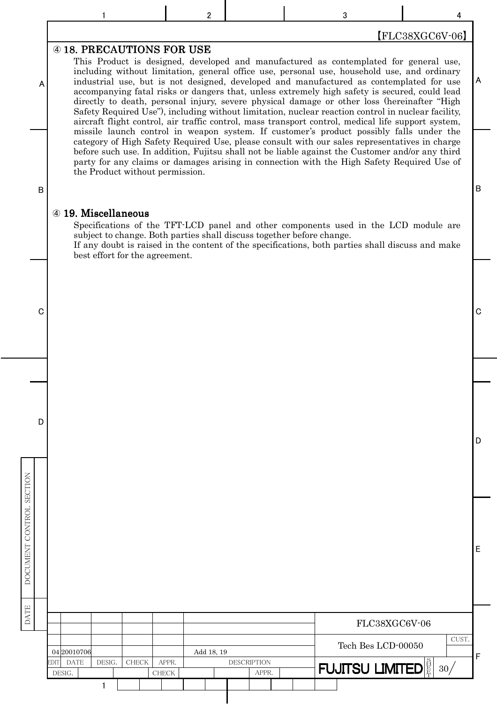$\begin{array}{ccccccccccccccccc}\n1 & 1 & 1 & 2 & 2 & 3 & 3 & 4\n\end{array}$ 

## 【FLC38XGC6V-06】

#### **@ 18. PRECAUTIONS FOR USE**

This Product is designed, developed and manufactured as contemplated for general use, including without limitation, general office use, personal use, household use, and ordinary industrial use, but is not designed, developed and manufactured as contemplated for use accompanying fatal risks or dangers that, unless extremely high safety is secured, could lead directly to death, personal injury, severe physical damage or other loss (hereinafter "High Safety Required Use"), including without limitation, nuclear reaction control in nuclear facility, aircraft flight control, air traffic control, mass transport control, medical life support system, missile launch control in weapon system. If customer's product possibly falls under the category of High Safety Required Use, please consult with our sales representatives in charge before such use. In addition, Fujitsu shall not be liable against the Customer and/or any third party for any claims or damages arising in connection with the High Safety Required Use of the Product without permission.

#### B

A

#### 4 19. Miscellaneous

 $\mathbf{1}$ 

Specifications of the TFT-LCD panel and other components used in the LCD module are subject to change. Both parties shall discuss together before change.

If any doubt is raised in the content of the specifications, both parties shall discuss and make best effort for the agreement.

c contract to the contract of the contract of the contract of the contract of the contract of the contract of the contract of the contract of the contract of the contract of the contract of the contract of the contract of

D

DATE DOCUMENT CONTROL SECTION

DATE

DOCUMENT CONTROL SECTION

B

A

D

E

#### 30 EDIT DATE DESIG. CHECK APPR. CUST.  $\overline{S}$ 䕘 䕕 FUJITSU LIMITED F DESIG. REPORT CHECK | CHECK | APPR. FLC38XGC6V-06 Tech Bes LCD-00050 04 20010706 1 Add 18, 19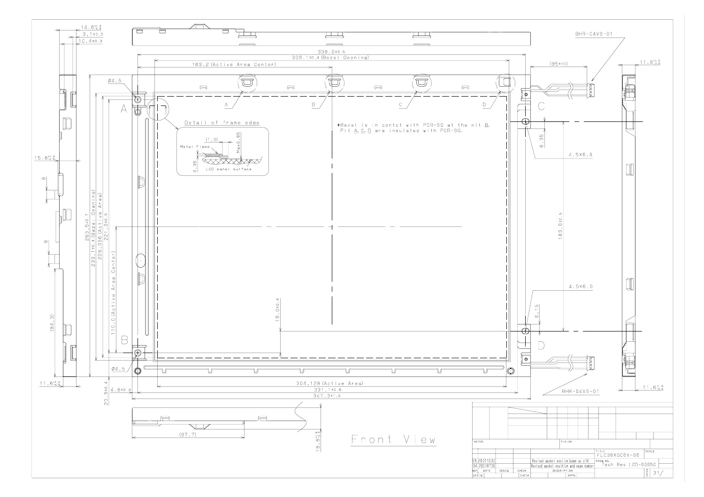